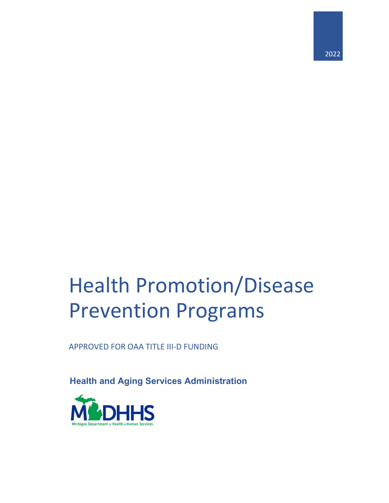# Health Promotion/Disease Prevention Programs

APPROVED FOR OAA TITLE III-D FUNDING

**Health and Aging Services Administration**

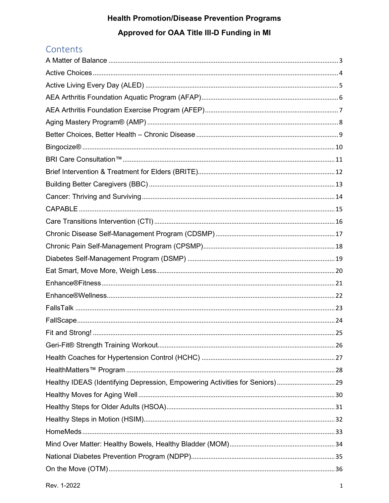### Contents

| Healthy IDEAS (Identifying Depression, Empowering Activities for Seniors) 29 |  |
|------------------------------------------------------------------------------|--|
|                                                                              |  |
|                                                                              |  |
|                                                                              |  |
|                                                                              |  |
|                                                                              |  |
|                                                                              |  |
|                                                                              |  |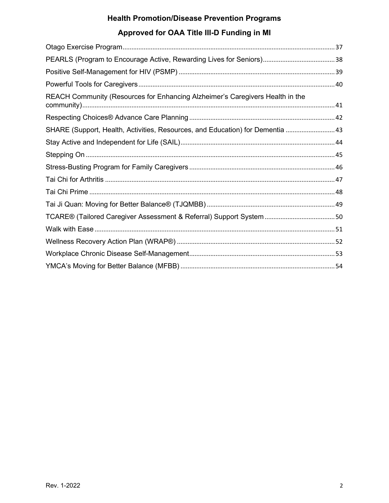| SHARE (Support, Health, Activities, Resources, and Education) for Dementia  43 |
|--------------------------------------------------------------------------------|
|                                                                                |
|                                                                                |
|                                                                                |
|                                                                                |
|                                                                                |
|                                                                                |
|                                                                                |
|                                                                                |
|                                                                                |
|                                                                                |
|                                                                                |
|                                                                                |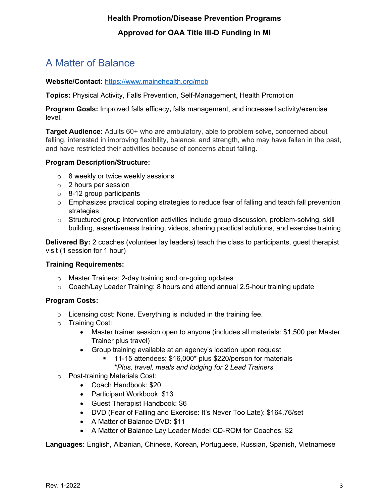# <span id="page-3-0"></span>A Matter of Balance

#### **Website/Contact:** <https://www.mainehealth.org/mob>

**Topics:** Physical Activity, Falls Prevention, Self-Management, Health Promotion

**Program Goals:** Improved falls efficacy**,** falls management, and increased activity/exercise level.

**Target Audience:** Adults 60+ who are ambulatory, able to problem solve, concerned about falling, interested in improving flexibility, balance, and strength, who may have fallen in the past, and have restricted their activities because of concerns about falling.

#### **Program Description/Structure:**

- $\circ$  8 weekly or twice weekly sessions
- o 2 hours per session
- $\circ$  8-12 group participants
- $\circ$  Emphasizes practical coping strategies to reduce fear of falling and teach fall prevention strategies.
- o Structured group intervention activities include group discussion, problem-solving, skill building, assertiveness training, videos, sharing practical solutions, and exercise training.

**Delivered By:** 2 coaches (volunteer lay leaders) teach the class to participants, guest therapist visit (1 session for 1 hour)

#### **Training Requirements:**

- o Master Trainers: 2-day training and on-going updates
- $\circ$  Coach/Lay Leader Training: 8 hours and attend annual 2.5-hour training update

#### **Program Costs:**

- o Licensing cost: None. Everything is included in the training fee.
- o Training Cost:
	- Master trainer session open to anyone (includes all materials: \$1,500 per Master Trainer plus travel)
	- Group training available at an agency's location upon request
		- 11-15 attendees: \$16,000\* plus \$220/person for materials
			- \**Plus, travel, meals and lodging for 2 Lead Trainers*
- o Post-training Materials Cost:
	- Coach Handbook: \$20
	- Participant Workbook: \$13
	- Guest Therapist Handbook: \$6
	- DVD (Fear of Falling and Exercise: It's Never Too Late): \$164.76/set
	- A Matter of Balance DVD: \$11
	- A Matter of Balance Lay Leader Model CD-ROM for Coaches: \$2

**Languages:** English, Albanian, Chinese, Korean, Portuguese, Russian, Spanish, Vietnamese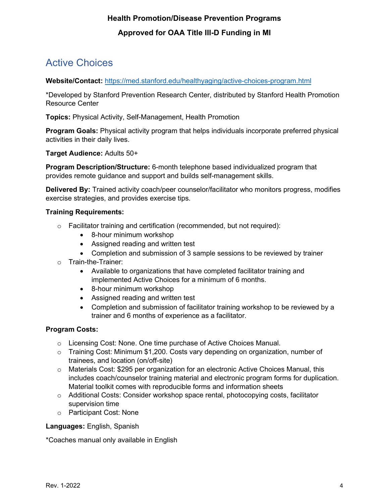# <span id="page-4-0"></span>Active Choices

#### **Website/Contact:** <https://med.stanford.edu/healthyaging/active-choices-program.html>

\*Developed by Stanford Prevention Research Center, distributed by Stanford Health Promotion Resource Center

**Topics:** Physical Activity, Self-Management, Health Promotion

**Program Goals:** Physical activity program that helps individuals incorporate preferred physical activities in their daily lives.

**Target Audience:** Adults 50+

**Program Description/Structure:** 6-month telephone based individualized program that provides remote guidance and support and builds self-management skills.

**Delivered By:** Trained activity coach/peer counselor/facilitator who monitors progress, modifies exercise strategies, and provides exercise tips.

#### **Training Requirements:**

- $\circ$  Facilitator training and certification (recommended, but not required):
	- 8-hour minimum workshop
	- Assigned reading and written test
	- Completion and submission of 3 sample sessions to be reviewed by trainer
- o Train-the-Trainer:
	- Available to organizations that have completed facilitator training and implemented Active Choices for a minimum of 6 months.
	- 8-hour minimum workshop
	- Assigned reading and written test
	- Completion and submission of facilitator training workshop to be reviewed by a trainer and 6 months of experience as a facilitator.

#### **Program Costs:**

- $\circ$  Licensing Cost: None. One time purchase of Active Choices Manual.
- $\circ$  Training Cost: Minimum \$1,200. Costs vary depending on organization, number of trainees, and location (on/off-site)
- o Materials Cost: \$295 per organization for an electronic Active Choices Manual, this includes coach/counselor training material and electronic program forms for duplication. Material toolkit comes with reproducible forms and information sheets
- $\circ$  Additional Costs: Consider workshop space rental, photocopying costs, facilitator supervision time
- o Participant Cost: None

#### **Languages:** English, Spanish

\*Coaches manual only available in English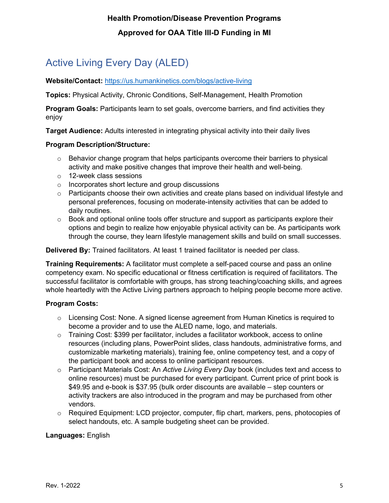# <span id="page-5-0"></span>Active Living Every Day (ALED)

#### **Website/Contact:** <https://us.humankinetics.com/blogs/active-living>

**Topics:** Physical Activity, Chronic Conditions, Self-Management, Health Promotion

**Program Goals:** Participants learn to set goals, overcome barriers, and find activities they enjoy

**Target Audience:** Adults interested in integrating physical activity into their daily lives

#### **Program Description/Structure:**

- $\circ$  Behavior change program that helps participants overcome their barriers to physical activity and make positive changes that improve their health and well-being.
- o 12-week class sessions
- o Incorporates short lecture and group discussions
- $\circ$  Participants choose their own activities and create plans based on individual lifestyle and personal preferences, focusing on moderate-intensity activities that can be added to daily routines.
- $\circ$  Book and optional online tools offer structure and support as participants explore their options and begin to realize how enjoyable physical activity can be. As participants work through the course, they learn lifestyle management skills and build on small successes.

**Delivered By:** Trained facilitators. At least 1 trained facilitator is needed per class.

**Training Requirements:** A facilitator must complete a self-paced course and pass an online competency exam. No specific educational or fitness certification is required of facilitators. The successful facilitator is comfortable with groups, has strong teaching/coaching skills, and agrees whole heartedly with the Active Living partners approach to helping people become more active.

#### **Program Costs:**

- $\circ$  Licensing Cost: None. A signed license agreement from Human Kinetics is required to become a provider and to use the ALED name, logo, and materials.
- $\circ$  Training Cost: \$399 per facilitator, includes a facilitator workbook, access to online resources (including plans, PowerPoint slides, class handouts, administrative forms, and customizable marketing materials), training fee, online competency test, and a copy of the participant book and access to online participant resources.
- o Participant Materials Cost: An *Active Living Every Day* book (includes text and access to online resources) must be purchased for every participant. Current price of print book is \$49.95 and e-book is \$37.95 (bulk order discounts are available – step counters or activity trackers are also introduced in the program and may be purchased from other vendors.
- $\circ$  Required Equipment: LCD projector, computer, flip chart, markers, pens, photocopies of select handouts, etc. A sample budgeting sheet can be provided.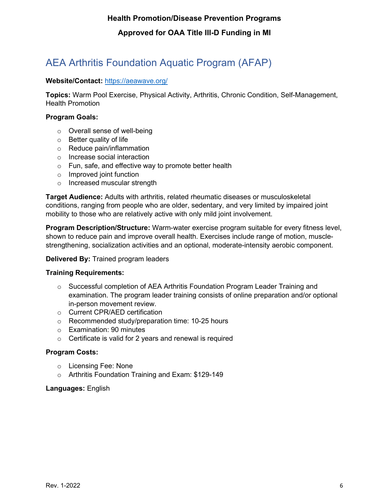# <span id="page-6-0"></span>AEA Arthritis Foundation Aquatic Program (AFAP)

#### **Website/Contact:** <https://aeawave.org/>

**Topics:** Warm Pool Exercise, Physical Activity, Arthritis, Chronic Condition, Self-Management, Health Promotion

#### **Program Goals:**

- o Overall sense of well-being
- o Better quality of life
- o Reduce pain/inflammation
- o Increase social interaction
- o Fun, safe, and effective way to promote better health
- o Improved joint function
- o Increased muscular strength

**Target Audience:** Adults with arthritis, related rheumatic diseases or musculoskeletal conditions, ranging from people who are older, sedentary, and very limited by impaired joint mobility to those who are relatively active with only mild joint involvement.

**Program Description/Structure:** Warm-water exercise program suitable for every fitness level, shown to reduce pain and improve overall health. Exercises include range of motion, musclestrengthening, socialization activities and an optional, moderate-intensity aerobic component.

#### **Delivered By:** Trained program leaders

#### **Training Requirements:**

- o Successful completion of AEA Arthritis Foundation Program Leader Training and examination. The program leader training consists of online preparation and/or optional in-person movement review.
- o Current CPR/AED certification
- o Recommended study/preparation time: 10-25 hours
- o Examination: 90 minutes
- o Certificate is valid for 2 years and renewal is required

#### **Program Costs:**

- o Licensing Fee: None
- o Arthritis Foundation Training and Exam: \$129-149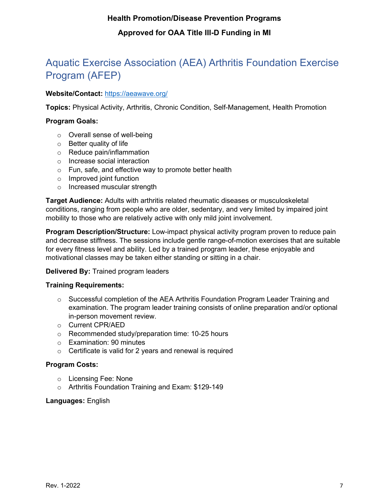# <span id="page-7-0"></span>Aquatic Exercise Association (AEA) Arthritis Foundation Exercise Program (AFEP)

#### **Website/Contact:** <https://aeawave.org/>

**Topics:** Physical Activity, Arthritis, Chronic Condition, Self-Management, Health Promotion

#### **Program Goals:**

- o Overall sense of well-being
- o Better quality of life
- o Reduce pain/inflammation
- o Increase social interaction
- o Fun, safe, and effective way to promote better health
- o Improved joint function
- o Increased muscular strength

**Target Audience:** Adults with arthritis related rheumatic diseases or musculoskeletal conditions, ranging from people who are older, sedentary, and very limited by impaired joint mobility to those who are relatively active with only mild joint involvement.

**Program Description/Structure:** Low-impact physical activity program proven to reduce pain and decrease stiffness. The sessions include gentle range-of-motion exercises that are suitable for every fitness level and ability. Led by a trained program leader, these enjoyable and motivational classes may be taken either standing or sitting in a chair.

#### **Delivered By:** Trained program leaders

#### **Training Requirements:**

- $\circ$  Successful completion of the AEA Arthritis Foundation Program Leader Training and examination. The program leader training consists of online preparation and/or optional in-person movement review.
- o Current CPR/AED
- o Recommended study/preparation time: 10-25 hours
- o Examination: 90 minutes
- $\circ$  Certificate is valid for 2 years and renewal is required

#### **Program Costs:**

- o Licensing Fee: None
- o Arthritis Foundation Training and Exam: \$129-149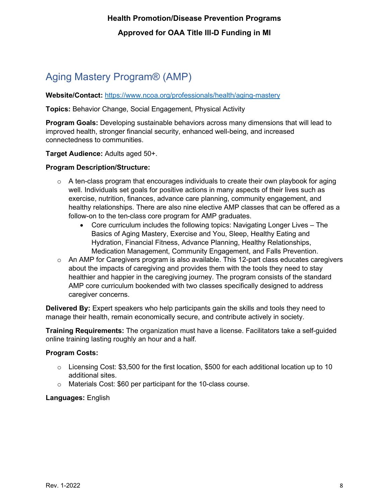# <span id="page-8-0"></span>Aging Mastery Program® (AMP)

**Website/Contact:** <https://www.ncoa.org/professionals/health/aging-mastery>

**Topics:** Behavior Change, Social Engagement, Physical Activity

**Program Goals:** Developing sustainable behaviors across many dimensions that will lead to improved health, stronger financial security, enhanced well-being, and increased connectedness to communities.

**Target Audience:** Adults aged 50+.

#### **Program Description/Structure:**

- $\circ$  A ten-class program that encourages individuals to create their own playbook for aging well. Individuals set goals for positive actions in many aspects of their lives such as exercise, nutrition, finances, advance care planning, community engagement, and healthy relationships. There are also nine elective AMP classes that can be offered as a follow-on to the ten-class core program for AMP graduates.
	- Core curriculum includes the following topics: Navigating Longer Lives The Basics of Aging Mastery, Exercise and You, Sleep, Healthy Eating and Hydration, Financial Fitness, Advance Planning, Healthy Relationships, Medication Management, Community Engagement, and Falls Prevention.
- $\circ$  An AMP for Caregivers program is also available. This 12-part class educates caregivers about the impacts of caregiving and provides them with the tools they need to stay healthier and happier in the caregiving journey. The program consists of the standard AMP core curriculum bookended with two classes specifically designed to address caregiver concerns.

**Delivered By:** Expert speakers who help participants gain the skills and tools they need to manage their health, remain economically secure, and contribute actively in society.

**Training Requirements:** The organization must have a license. Facilitators take a self-guided online training lasting roughly an hour and a half.

#### **Program Costs:**

- $\circ$  Licensing Cost: \$3,500 for the first location, \$500 for each additional location up to 10 additional sites.
- o Materials Cost: \$60 per participant for the 10-class course.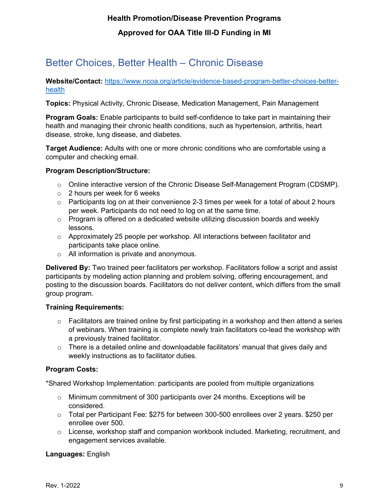# <span id="page-9-0"></span>Better Choices, Better Health – Chronic Disease

**Website/Contact:** [https://www.ncoa.org/article/evidence-based-program-better-choices-better](https://www.ncoa.org/article/evidence-based-program-better-choices-better-health)[health](https://www.ncoa.org/article/evidence-based-program-better-choices-better-health)

**Topics:** Physical Activity, Chronic Disease, Medication Management, Pain Management

**Program Goals:** Enable participants to build self-confidence to take part in maintaining their health and managing their chronic health conditions, such as hypertension, arthritis, heart disease, stroke, lung disease, and diabetes.

**Target Audience:** Adults with one or more chronic conditions who are comfortable using a computer and checking email.

#### **Program Description/Structure:**

- $\circ$  Online interactive version of the Chronic Disease Self-Management Program (CDSMP).
- $\circ$  2 hours per week for 6 weeks
- $\circ$  Participants log on at their convenience 2-3 times per week for a total of about 2 hours per week. Participants do not need to log on at the same time.
- $\circ$  Program is offered on a dedicated website utilizing discussion boards and weekly lessons.
- $\circ$  Approximately 25 people per workshop. All interactions between facilitator and participants take place online.
- o All information is private and anonymous.

**Delivered By:** Two trained peer facilitators per workshop. Facilitators follow a script and assist participants by modeling action planning and problem solving, offering encouragement, and posting to the discussion boards. Facilitators do not deliver content, which differs from the small group program.

#### **Training Requirements:**

- $\circ$  Facilitators are trained online by first participating in a workshop and then attend a series of webinars. When training is complete newly train facilitators co-lead the workshop with a previously trained facilitator.
- $\circ$  There is a detailed online and downloadable facilitators' manual that gives daily and weekly instructions as to facilitator duties.

#### **Program Costs:**

\*Shared Workshop Implementation: participants are pooled from multiple organizations

- $\circ$  Minimum commitment of 300 participants over 24 months. Exceptions will be considered.
- $\circ$  Total per Participant Fee: \$275 for between 300-500 enrollees over 2 years. \$250 per enrollee over 500.
- $\circ$  License, workshop staff and companion workbook included. Marketing, recruitment, and engagement services available.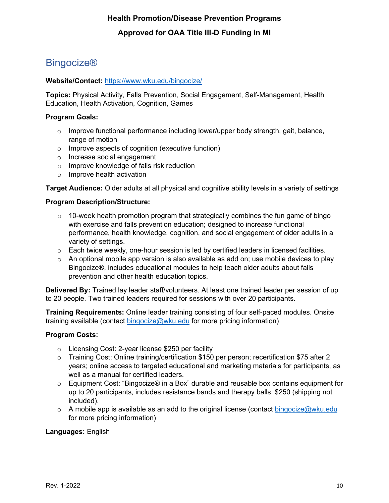### <span id="page-10-0"></span>**Bingocize®**

#### **Website/Contact:** <https://www.wku.edu/bingocize/>

**Topics:** Physical Activity, Falls Prevention, Social Engagement, Self-Management, Health Education, Health Activation, Cognition, Games

#### **Program Goals:**

- $\circ$  Improve functional performance including lower/upper body strength, gait, balance, range of motion
- o Improve aspects of cognition (executive function)
- o Increase social engagement
- o Improve knowledge of falls risk reduction
- o Improve health activation

**Target Audience:** Older adults at all physical and cognitive ability levels in a variety of settings

#### **Program Description/Structure:**

- $\circ$  10-week health promotion program that strategically combines the fun game of bingo with exercise and falls prevention education; designed to increase functional performance, health knowledge, cognition, and social engagement of older adults in a variety of settings.
- $\circ$  Each twice weekly, one-hour session is led by certified leaders in licensed facilities.
- $\circ$  An optional mobile app version is also available as add on; use mobile devices to play Bingocize®, includes educational modules to help teach older adults about falls prevention and other health education topics.

**Delivered By:** Trained lay leader staff/volunteers. At least one trained leader per session of up to 20 people. Two trained leaders required for sessions with over 20 participants.

**Training Requirements:** Online leader training consisting of four self-paced modules. Onsite training available (contact [bingocize@wku.edu](mailto:bingocize@wku.edu) for more pricing information)

#### **Program Costs:**

- o Licensing Cost: 2-year license \$250 per facility
- o Training Cost: Online training/certification \$150 per person; recertification \$75 after 2 years; online access to targeted educational and marketing materials for participants, as well as a manual for certified leaders.
- $\circ$  Equipment Cost: "Bingocize® in a Box" durable and reusable box contains equipment for up to 20 participants, includes resistance bands and therapy balls. \$250 (shipping not included).
- $\circ$  A mobile app is available as an add to the original license (contact [bingocize@wku.edu](mailto:bingocize@wku.edu) for more pricing information)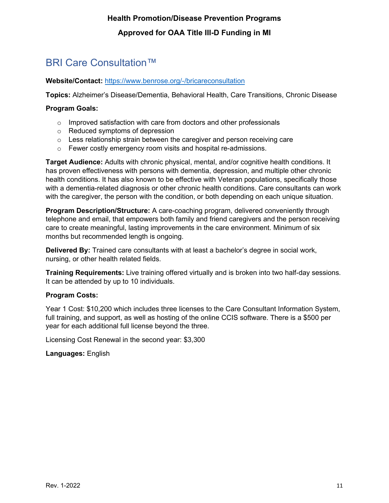### <span id="page-11-0"></span>BRI Care Consultation™

#### **Website/Contact:** <https://www.benrose.org/-/bricareconsultation>

**Topics:** Alzheimer's Disease/Dementia, Behavioral Health, Care Transitions, Chronic Disease

#### **Program Goals:**

- $\circ$  Improved satisfaction with care from doctors and other professionals
- o Reduced symptoms of depression
- o Less relationship strain between the caregiver and person receiving care
- o Fewer costly emergency room visits and hospital re-admissions.

**Target Audience:** Adults with chronic physical, mental, and/or cognitive health conditions. It has proven effectiveness with persons with dementia, depression, and multiple other chronic health conditions. It has also known to be effective with Veteran populations, specifically those with a dementia-related diagnosis or other chronic health conditions. Care consultants can work with the caregiver, the person with the condition, or both depending on each unique situation.

**Program Description/Structure:** A care-coaching program, delivered conveniently through telephone and email, that empowers both family and friend caregivers and the person receiving care to create meaningful, lasting improvements in the care environment. Minimum of six months but recommended length is ongoing.

**Delivered By:** Trained care consultants with at least a bachelor's degree in social work, nursing, or other health related fields.

**Training Requirements:** Live training offered virtually and is broken into two half-day sessions. It can be attended by up to 10 individuals.

#### **Program Costs:**

Year 1 Cost: \$10,200 which includes three licenses to the Care Consultant Information System, full training, and support, as well as hosting of the online CCIS software. There is a \$500 per year for each additional full license beyond the three.

Licensing Cost Renewal in the second year: \$3,300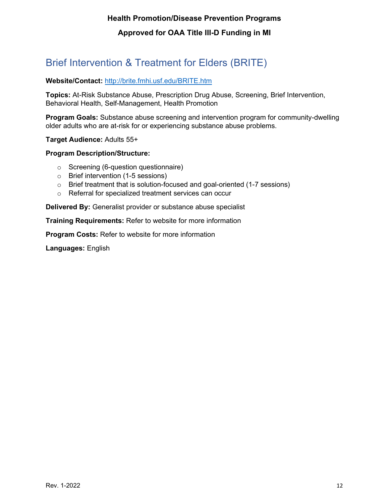# <span id="page-12-0"></span>Brief Intervention & Treatment for Elders (BRITE)

#### **Website/Contact:** <http://brite.fmhi.usf.edu/BRITE.htm>

**Topics:** At-Risk Substance Abuse, Prescription Drug Abuse, Screening, Brief Intervention, Behavioral Health, Self-Management, Health Promotion

**Program Goals:** Substance abuse screening and intervention program for community-dwelling older adults who are at-risk for or experiencing substance abuse problems.

**Target Audience:** Adults 55+

#### **Program Description/Structure:**

- o Screening (6-question questionnaire)
- o Brief intervention (1-5 sessions)
- o Brief treatment that is solution-focused and goal-oriented (1-7 sessions)
- o Referral for specialized treatment services can occur

**Delivered By:** Generalist provider or substance abuse specialist

**Training Requirements:** Refer to website for more information

**Program Costs:** Refer to website for more information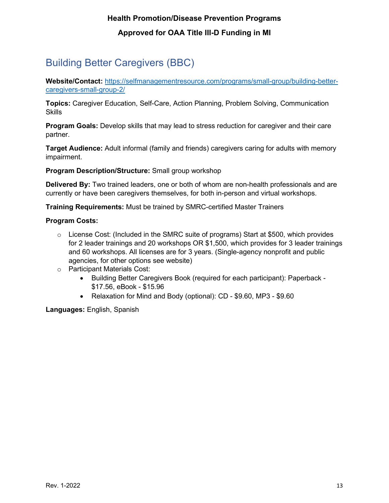# <span id="page-13-0"></span>Building Better Caregivers (BBC)

**Website/Contact:** [https://selfmanagementresource.com/programs/small-group/building-better](https://selfmanagementresource.com/programs/small-group/building-better-caregivers-small-group-2/)[caregivers-small-group-2/](https://selfmanagementresource.com/programs/small-group/building-better-caregivers-small-group-2/)

**Topics:** Caregiver Education, Self-Care, Action Planning, Problem Solving, Communication **Skills** 

**Program Goals:** Develop skills that may lead to stress reduction for caregiver and their care partner.

**Target Audience:** Adult informal (family and friends) caregivers caring for adults with memory impairment.

**Program Description/Structure:** Small group workshop

**Delivered By:** Two trained leaders, one or both of whom are non-health professionals and are currently or have been caregivers themselves, for both in-person and virtual workshops.

**Training Requirements:** Must be trained by SMRC-certified Master Trainers

#### **Program Costs:**

- o License Cost: (Included in the SMRC suite of programs) Start at \$500, which provides for 2 leader trainings and 20 workshops OR \$1,500, which provides for 3 leader trainings and 60 workshops. All licenses are for 3 years. (Single-agency nonprofit and public agencies, for other options see website)
- o Participant Materials Cost:
	- Building Better Caregivers Book (required for each participant): Paperback \$17.56, eBook - \$15.96
	- Relaxation for Mind and Body (optional): CD \$9.60, MP3 \$9.60

**Languages:** English, Spanish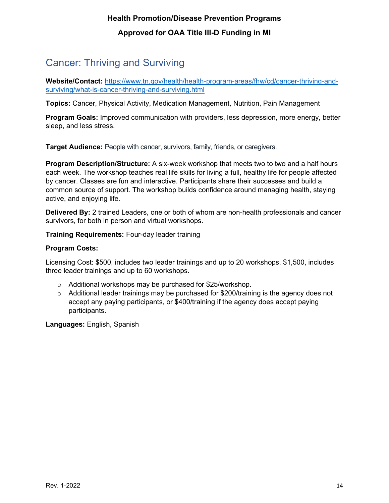# <span id="page-14-0"></span>Cancer: Thriving and Surviving

**Website/Contact:** [https://www.tn.gov/health/health-program-areas/fhw/cd/cancer-thriving-and](https://www.tn.gov/health/health-program-areas/fhw/cd/cancer-thriving-and-surviving/what-is-cancer-thriving-and-surviving.html)[surviving/what-is-cancer-thriving-and-surviving.html](https://www.tn.gov/health/health-program-areas/fhw/cd/cancer-thriving-and-surviving/what-is-cancer-thriving-and-surviving.html)

**Topics:** Cancer, Physical Activity, Medication Management, Nutrition, Pain Management

**Program Goals:** Improved communication with providers, less depression, more energy, better sleep, and less stress.

**Target Audience:** People with cancer, survivors, family, friends, or caregivers.

**Program Description/Structure:** A six-week workshop that meets two to two and a half hours each week. The workshop teaches real life skills for living a full, healthy life for people affected by cancer. Classes are fun and interactive. Participants share their successes and build a common source of support. The workshop builds confidence around managing health, staying active, and enjoying life.

**Delivered By:** 2 trained Leaders, one or both of whom are non-health professionals and cancer survivors, for both in person and virtual workshops.

**Training Requirements:** Four-day leader training

#### **Program Costs:**

Licensing Cost: \$500, includes two leader trainings and up to 20 workshops. \$1,500, includes three leader trainings and up to 60 workshops.

- o Additional workshops may be purchased for \$25/workshop.
- $\circ$  Additional leader trainings may be purchased for \$200/training is the agency does not accept any paying participants, or \$400/training if the agency does accept paying participants.

**Languages:** English, Spanish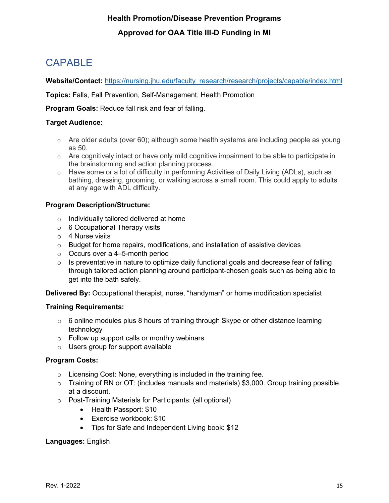# <span id="page-15-0"></span>CAPABLE

Website/Contact: [https://nursing.jhu.edu/faculty\\_research/research/projects/capable/index.html](https://nursing.jhu.edu/faculty_research/research/projects/capable/index.html)

**Topics:** Falls, Fall Prevention, Self-Management, Health Promotion

**Program Goals:** Reduce fall risk and fear of falling.

#### **Target Audience:**

- $\circ$  Are older adults (over 60); although some health systems are including people as young as 50.
- $\circ$  Are cognitively intact or have only mild cognitive impairment to be able to participate in the brainstorming and action planning process.
- o Have some or a lot of difficulty in performing Activities of Daily Living (ADLs), such as bathing, dressing, grooming, or walking across a small room. This could apply to adults at any age with ADL difficulty.

#### **Program Description/Structure:**

- o Individually tailored delivered at home
- $\circ$  6 Occupational Therapy visits
- $\circ$  4 Nurse visits
- $\circ$  Budget for home repairs, modifications, and installation of assistive devices
- o Occurs over a 4–5-month period
- $\circ$  Is preventative in nature to optimize daily functional goals and decrease fear of falling through tailored action planning around participant-chosen goals such as being able to get into the bath safely.

**Delivered By:** Occupational therapist, nurse, "handyman" or home modification specialist

#### **Training Requirements:**

- $\circ$  6 online modules plus 8 hours of training through Skype or other distance learning technology
- $\circ$  Follow up support calls or monthly webinars
- o Users group for support available

#### **Program Costs:**

- $\circ$  Licensing Cost: None, everything is included in the training fee.
- $\circ$  Training of RN or OT: (includes manuals and materials) \$3,000. Group training possible at a discount.
- o Post-Training Materials for Participants: (all optional)
	- Health Passport: \$10
	- Exercise workbook: \$10
	- Tips for Safe and Independent Living book: \$12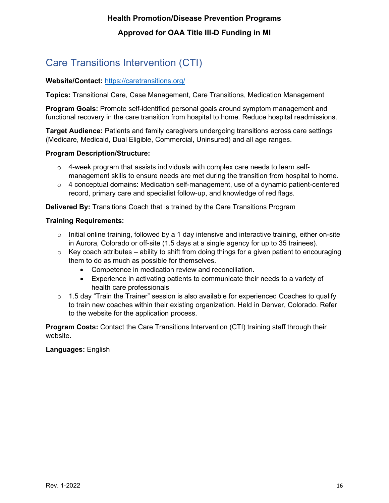# <span id="page-16-0"></span>Care Transitions Intervention (CTI)

#### **Website/Contact:** <https://caretransitions.org/>

**Topics:** Transitional Care, Case Management, Care Transitions, Medication Management

**Program Goals:** Promote self-identified personal goals around symptom management and functional recovery in the care transition from hospital to home. Reduce hospital readmissions.

**Target Audience:** Patients and family caregivers undergoing transitions across care settings (Medicare, Medicaid, Dual Eligible, Commercial, Uninsured) and all age ranges.

#### **Program Description/Structure:**

- $\circ$  4-week program that assists individuals with complex care needs to learn selfmanagement skills to ensure needs are met during the transition from hospital to home.
- $\circ$  4 conceptual domains: Medication self-management, use of a dynamic patient-centered record, primary care and specialist follow-up, and knowledge of red flags.

**Delivered By:** Transitions Coach that is trained by the Care Transitions Program

#### **Training Requirements:**

- $\circ$  Initial online training, followed by a 1 day intensive and interactive training, either on-site in Aurora, Colorado or off-site (1.5 days at a single agency for up to 35 trainees).
- $\circ$  Key coach attributes ability to shift from doing things for a given patient to encouraging them to do as much as possible for themselves.
	- Competence in medication review and reconciliation.
	- Experience in activating patients to communicate their needs to a variety of health care professionals
- $\circ$  1.5 day "Train the Trainer" session is also available for experienced Coaches to qualify to train new coaches within their existing organization. Held in Denver, Colorado. Refer to the website for the application process.

**Program Costs:** Contact the Care Transitions Intervention (CTI) training staff through their website.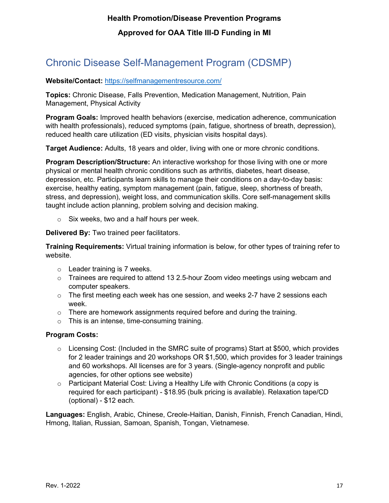# <span id="page-17-0"></span>Chronic Disease Self-Management Program (CDSMP)

#### **Website/Contact:** <https://selfmanagementresource.com/>

**Topics:** Chronic Disease, Falls Prevention, Medication Management, Nutrition, Pain Management, Physical Activity

**Program Goals:** Improved health behaviors (exercise, medication adherence, communication with health professionals), reduced symptoms (pain, fatigue, shortness of breath, depression), reduced health care utilization (ED visits, physician visits hospital days).

**Target Audience:** Adults, 18 years and older, living with one or more chronic conditions.

**Program Description/Structure:** An interactive workshop for those living with one or more physical or mental health chronic conditions such as arthritis, diabetes, heart disease, depression, etc. Participants learn skills to manage their conditions on a day-to-day basis: exercise, healthy eating, symptom management (pain, fatigue, sleep, shortness of breath, stress, and depression), weight loss, and communication skills. Core self-management skills taught include action planning, problem solving and decision making.

o Six weeks, two and a half hours per week.

**Delivered By:** Two trained peer facilitators.

**Training Requirements:** Virtual training information is below, for other types of training refer to website.

- o Leader training is 7 weeks.
- $\circ$  Trainees are required to attend 13 2.5-hour Zoom video meetings using webcam and computer speakers.
- $\circ$  The first meeting each week has one session, and weeks 2-7 have 2 sessions each week.
- $\circ$  There are homework assignments required before and during the training.
- o This is an intense, time-consuming training.

#### **Program Costs:**

- $\circ$  Licensing Cost: (Included in the SMRC suite of programs) Start at \$500, which provides for 2 leader trainings and 20 workshops OR \$1,500, which provides for 3 leader trainings and 60 workshops. All licenses are for 3 years. (Single-agency nonprofit and public agencies, for other options see website)
- $\circ$  Participant Material Cost: Living a Healthy Life with Chronic Conditions (a copy is required for each participant) - \$18.95 (bulk pricing is available). Relaxation tape/CD (optional) - \$12 each.

**Languages:** English, Arabic, Chinese, Creole-Haitian, Danish, Finnish, French Canadian, Hindi, Hmong, Italian, Russian, Samoan, Spanish, Tongan, Vietnamese.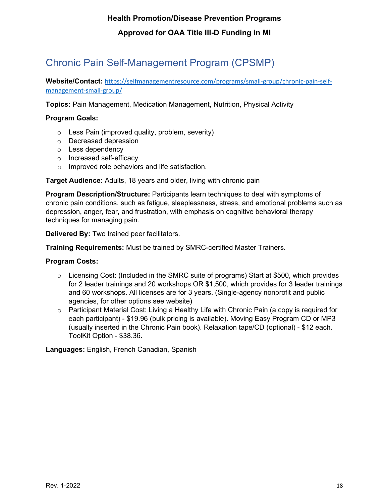# <span id="page-18-0"></span>Chronic Pain Self-Management Program (CPSMP)

**Website/Contact:** [https://selfmanagementresource.com/programs/small-group/chronic-pain-self](https://selfmanagementresource.com/programs/small-group/chronic-pain-self-management-small-group/)[management-small-group/](https://selfmanagementresource.com/programs/small-group/chronic-pain-self-management-small-group/)

**Topics:** Pain Management, Medication Management, Nutrition, Physical Activity

#### **Program Goals:**

- $\circ$  Less Pain (improved quality, problem, severity)
- o Decreased depression
- o Less dependency
- o Increased self-efficacy
- o Improved role behaviors and life satisfaction.

**Target Audience:** Adults, 18 years and older, living with chronic pain

**Program Description/Structure:** Participants learn techniques to deal with symptoms of chronic pain conditions, such as fatigue, sleeplessness, stress, and emotional problems such as depression, anger, fear, and frustration, with emphasis on cognitive behavioral therapy techniques for managing pain.

**Delivered By:** Two trained peer facilitators.

**Training Requirements:** Must be trained by SMRC-certified Master Trainers.

#### **Program Costs:**

- $\circ$  Licensing Cost: (Included in the SMRC suite of programs) Start at \$500, which provides for 2 leader trainings and 20 workshops OR \$1,500, which provides for 3 leader trainings and 60 workshops. All licenses are for 3 years. (Single-agency nonprofit and public agencies, for other options see website)
- $\circ$  Participant Material Cost: Living a Healthy Life with Chronic Pain (a copy is required for each participant) - \$19.96 (bulk pricing is available). Moving Easy Program CD or MP3 (usually inserted in the Chronic Pain book). Relaxation tape/CD (optional) - \$12 each. ToolKit Option - \$38.36.

**Languages:** English, French Canadian, Spanish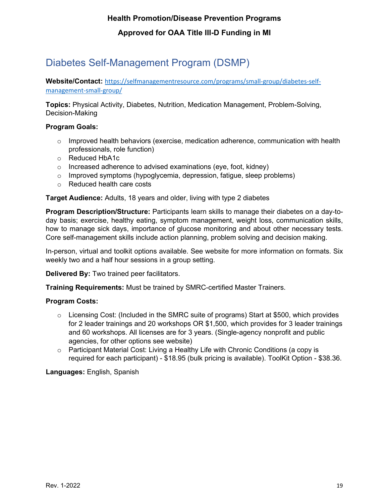# <span id="page-19-0"></span>Diabetes Self-Management Program (DSMP)

**Website/Contact:** [https://selfmanagementresource.com/programs/small-group/diabetes-self](https://selfmanagementresource.com/programs/small-group/diabetes-self-management-small-group/)[management-small-group/](https://selfmanagementresource.com/programs/small-group/diabetes-self-management-small-group/)

**Topics:** Physical Activity, Diabetes, Nutrition, Medication Management, Problem-Solving, Decision-Making

#### **Program Goals:**

- $\circ$  Improved health behaviors (exercise, medication adherence, communication with health professionals, role function)
- o Reduced HbA1c
- o Increased adherence to advised examinations (eye, foot, kidney)
- $\circ$  Improved symptoms (hypoglycemia, depression, fatigue, sleep problems)
- o Reduced health care costs

**Target Audience:** Adults, 18 years and older, living with type 2 diabetes

**Program Description/Structure:** Participants learn skills to manage their diabetes on a day-today basis; exercise, healthy eating, symptom management, weight loss, communication skills, how to manage sick days, importance of glucose monitoring and about other necessary tests. Core self-management skills include action planning, problem solving and decision making.

In-person, virtual and toolkit options available. See website for more information on formats. Six weekly two and a half hour sessions in a group setting.

**Delivered By:** Two trained peer facilitators.

**Training Requirements:** Must be trained by SMRC-certified Master Trainers.

#### **Program Costs:**

- $\circ$  Licensing Cost: (Included in the SMRC suite of programs) Start at \$500, which provides for 2 leader trainings and 20 workshops OR \$1,500, which provides for 3 leader trainings and 60 workshops. All licenses are for 3 years. (Single-agency nonprofit and public agencies, for other options see website)
- o Participant Material Cost: Living a Healthy Life with Chronic Conditions (a copy is required for each participant) - \$18.95 (bulk pricing is available). ToolKit Option - \$38.36.

**Languages:** English, Spanish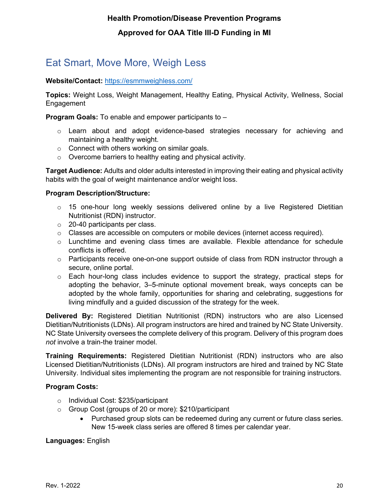# <span id="page-20-0"></span>Eat Smart, Move More, Weigh Less

#### **Website/Contact:** <https://esmmweighless.com/>

**Topics:** Weight Loss, Weight Management, Healthy Eating, Physical Activity, Wellness, Social Engagement

**Program Goals:** To enable and empower participants to –

- $\circ$  Learn about and adopt evidence-based strategies necessary for achieving and maintaining a healthy weight.
- o Connect with others working on similar goals.
- o Overcome barriers to healthy eating and physical activity.

**Target Audience:** Adults and older adults interested in improving their eating and physical activity habits with the goal of weight maintenance and/or weight loss.

#### **Program Description/Structure:**

- $\circ$  15 one-hour long weekly sessions delivered online by a live Registered Dietitian Nutritionist (RDN) instructor.
- o 20-40 participants per class.
- $\circ$  Classes are accessible on computers or mobile devices (internet access required).
- o Lunchtime and evening class times are available. Flexible attendance for schedule conflicts is offered.
- $\circ$  Participants receive one-on-one support outside of class from RDN instructor through a secure, online portal.
- $\circ$  Each hour-long class includes evidence to support the strategy, practical steps for adopting the behavior, 3–5-minute optional movement break, ways concepts can be adopted by the whole family, opportunities for sharing and celebrating, suggestions for living mindfully and a guided discussion of the strategy for the week.

**Delivered By:** Registered Dietitian Nutritionist (RDN) instructors who are also Licensed Dietitian/Nutritionists (LDNs). All program instructors are hired and trained by NC State University. NC State University oversees the complete delivery of this program. Delivery of this program does *not* involve a train-the trainer model.

**Training Requirements:** Registered Dietitian Nutritionist (RDN) instructors who are also Licensed Dietitian/Nutritionists (LDNs). All program instructors are hired and trained by NC State University. Individual sites implementing the program are not responsible for training instructors.

#### **Program Costs:**

- o Individual Cost: \$235/participant
- o Group Cost (groups of 20 or more): \$210/participant
	- Purchased group slots can be redeemed during any current or future class series. New 15-week class series are offered 8 times per calendar year.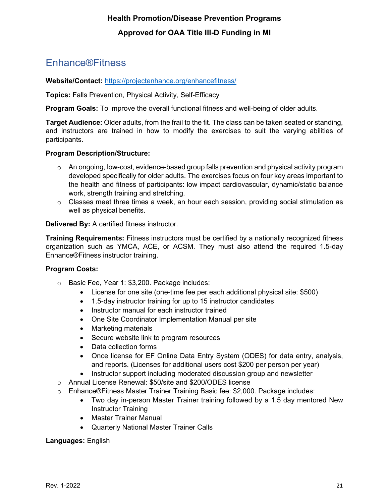### <span id="page-21-0"></span>Enhance®Fitness

#### **Website/Contact:** <https://projectenhance.org/enhancefitness/>

**Topics:** Falls Prevention, Physical Activity, Self-Efficacy

**Program Goals:** To improve the overall functional fitness and well-being of older adults.

**Target Audience:** Older adults, from the frail to the fit. The class can be taken seated or standing, and instructors are trained in how to modify the exercises to suit the varying abilities of participants.

#### **Program Description/Structure:**

- $\circ$  An ongoing, low-cost, evidence-based group falls prevention and physical activity program developed specifically for older adults. The exercises focus on four key areas important to the health and fitness of participants: low impact cardiovascular, dynamic/static balance work, strength training and stretching.
- $\circ$  Classes meet three times a week, an hour each session, providing social stimulation as well as physical benefits.

**Delivered By:** A certified fitness instructor.

**Training Requirements:** Fitness instructors must be certified by a nationally recognized fitness organization such as YMCA, ACE, or ACSM. They must also attend the required 1.5-day Enhance®Fitness instructor training.

#### **Program Costs:**

- o Basic Fee, Year 1: \$3,200. Package includes:
	- License for one site (one-time fee per each additional physical site: \$500)
	- 1.5-day instructor training for up to 15 instructor candidates
	- Instructor manual for each instructor trained
	- One Site Coordinator Implementation Manual per site
	- Marketing materials
	- Secure website link to program resources
	- Data collection forms
	- Once license for EF Online Data Entry System (ODES) for data entry, analysis, and reports. (Licenses for additional users cost \$200 per person per year)
	- Instructor support including moderated discussion group and newsletter
- o Annual License Renewal: \$50/site and \$200/ODES license
- o Enhance®Fitness Master Trainer Training Basic fee: \$2,000. Package includes:
	- Two day in-person Master Trainer training followed by a 1.5 day mentored New Instructor Training
	- Master Trainer Manual
	- Quarterly National Master Trainer Calls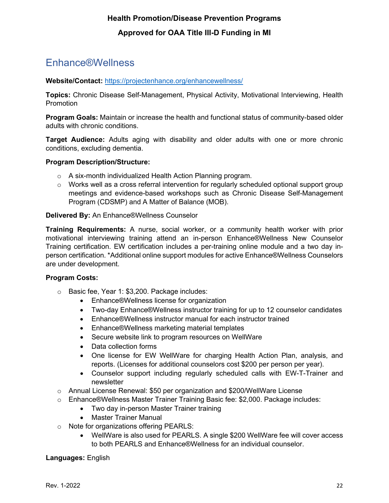### <span id="page-22-0"></span>Enhance®Wellness

#### **Website/Contact:** <https://projectenhance.org/enhancewellness/>

**Topics:** Chronic Disease Self-Management, Physical Activity, Motivational Interviewing, Health Promotion

**Program Goals:** Maintain or increase the health and functional status of community-based older adults with chronic conditions.

**Target Audience:** Adults aging with disability and older adults with one or more chronic conditions, excluding dementia.

#### **Program Description/Structure:**

- o A six-month individualized Health Action Planning program.
- $\circ$  Works well as a cross referral intervention for regularly scheduled optional support group meetings and evidence-based workshops such as Chronic Disease Self-Management Program (CDSMP) and A Matter of Balance (MOB).

#### **Delivered By:** An Enhance®Wellness Counselor

**Training Requirements:** A nurse, social worker, or a community health worker with prior motivational interviewing training attend an in-person Enhance®Wellness New Counselor Training certification. EW certification includes a per-training online module and a two day inperson certification. \*Additional online support modules for active Enhance®Wellness Counselors are under development.

#### **Program Costs:**

- o Basic fee, Year 1: \$3,200. Package includes:
	- Enhance®Wellness license for organization
	- Two-day Enhance®Wellness instructor training for up to 12 counselor candidates
	- Enhance®Wellness instructor manual for each instructor trained
	- Enhance®Wellness marketing material templates
	- Secure website link to program resources on WellWare
	- Data collection forms
	- One license for EW WellWare for charging Health Action Plan, analysis, and reports. (Licenses for additional counselors cost \$200 per person per year).
	- Counselor support including regularly scheduled calls with EW-T-Trainer and newsletter
- $\circ$  Annual License Renewal: \$50 per organization and \$200/WellWare License
- o Enhance®Wellness Master Trainer Training Basic fee: \$2,000. Package includes:
	- Two day in-person Master Trainer training
	- Master Trainer Manual
- o Note for organizations offering PEARLS:
	- WellWare is also used for PEARLS. A single \$200 WellWare fee will cover access to both PEARLS and Enhance®Wellness for an individual counselor.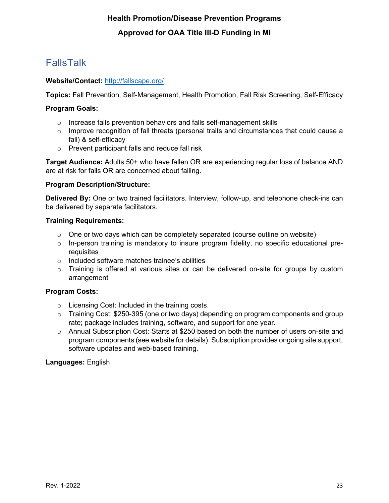# <span id="page-23-0"></span>FallsTalk

#### **Website/Contact:** <http://fallscape.org/>

**Topics:** Fall Prevention, Self-Management, Health Promotion, Fall Risk Screening, Self-Efficacy

#### **Program Goals:**

- o Increase falls prevention behaviors and falls self-management skills
- $\circ$  Improve recognition of fall threats (personal traits and circumstances that could cause a fall) & self-efficacy
- o Prevent participant falls and reduce fall risk

**Target Audience:** Adults 50+ who have fallen OR are experiencing regular loss of balance AND are at risk for falls OR are concerned about falling.

#### **Program Description/Structure:**

**Delivered By:** One or two trained facilitators. Interview, follow-up, and telephone check-ins can be delivered by separate facilitators.

#### **Training Requirements:**

- $\circ$  One or two days which can be completely separated (course outline on website)
- $\circ$  In-person training is mandatory to insure program fidelity, no specific educational prerequisites
- o Included software matches trainee's abilities
- o Training is offered at various sites or can be delivered on-site for groups by custom arrangement

#### **Program Costs:**

- o Licensing Cost: Included in the training costs.
- o Training Cost: \$250-395 (one or two days) depending on program components and group rate; package includes training, software, and support for one year.
- $\circ$  Annual Subscription Cost: Starts at \$250 based on both the number of users on-site and program components (see website for details). Subscription provides ongoing site support, software updates and web-based training.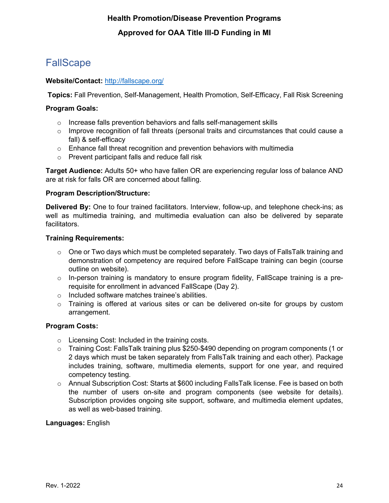# <span id="page-24-0"></span>**FallScape**

#### **Website/Contact:** <http://fallscape.org/>

**Topics:** Fall Prevention, Self-Management, Health Promotion, Self-Efficacy, Fall Risk Screening

#### **Program Goals:**

- o Increase falls prevention behaviors and falls self-management skills
- $\circ$  Improve recognition of fall threats (personal traits and circumstances that could cause a fall) & self-efficacy
- $\circ$  Enhance fall threat recognition and prevention behaviors with multimedia
- o Prevent participant falls and reduce fall risk

**Target Audience:** Adults 50+ who have fallen OR are experiencing regular loss of balance AND are at risk for falls OR are concerned about falling.

#### **Program Description/Structure:**

**Delivered By:** One to four trained facilitators. Interview, follow-up, and telephone check-ins; as well as multimedia training, and multimedia evaluation can also be delivered by separate facilitators.

#### **Training Requirements:**

- $\circ$  One or Two days which must be completed separately. Two days of FallsTalk training and demonstration of competency are required before FallScape training can begin (course outline on website).
- $\circ$  In-person training is mandatory to ensure program fidelity, FallScape training is a prerequisite for enrollment in advanced FallScape (Day 2).
- o Included software matches trainee's abilities.
- o Training is offered at various sites or can be delivered on-site for groups by custom arrangement.

#### **Program Costs:**

- o Licensing Cost: Included in the training costs.
- o Training Cost: FallsTalk training plus \$250-\$490 depending on program components (1 or 2 days which must be taken separately from FallsTalk training and each other). Package includes training, software, multimedia elements, support for one year, and required competency testing.
- o Annual Subscription Cost: Starts at \$600 including FallsTalk license. Fee is based on both the number of users on-site and program components (see website for details). Subscription provides ongoing site support, software, and multimedia element updates, as well as web-based training.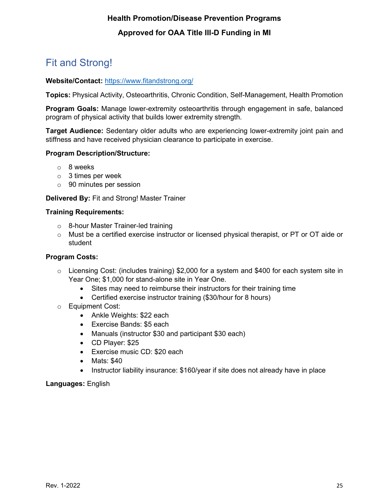# <span id="page-25-0"></span>Fit and Strong!

#### **Website/Contact:** <https://www.fitandstrong.org/>

**Topics:** Physical Activity, Osteoarthritis, Chronic Condition, Self-Management, Health Promotion

**Program Goals:** Manage lower-extremity osteoarthritis through engagement in safe, balanced program of physical activity that builds lower extremity strength.

**Target Audience:** Sedentary older adults who are experiencing lower-extremity joint pain and stiffness and have received physician clearance to participate in exercise.

#### **Program Description/Structure:**

- o 8 weeks
- $\circ$  3 times per week
- o 90 minutes per session

#### **Delivered By:** Fit and Strong! Master Trainer

#### **Training Requirements:**

- o 8-hour Master Trainer-led training
- $\circ$  Must be a certified exercise instructor or licensed physical therapist, or PT or OT aide or student

#### **Program Costs:**

- $\circ$  Licensing Cost: (includes training) \$2,000 for a system and \$400 for each system site in Year One; \$1,000 for stand-alone site in Year One.
	- Sites may need to reimburse their instructors for their training time
	- Certified exercise instructor training (\$30/hour for 8 hours)
- o Equipment Cost:
	- Ankle Weights: \$22 each
	- Exercise Bands: \$5 each
	- Manuals (instructor \$30 and participant \$30 each)
	- CD Player: \$25
	- Exercise music CD: \$20 each
	- Mats: \$40
	- Instructor liability insurance: \$160/year if site does not already have in place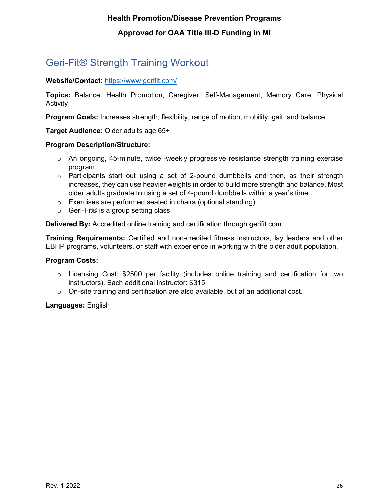# <span id="page-26-0"></span>Geri-Fit® Strength Training Workout

#### **Website/Contact:** <https://www.gerifit.com/>

**Topics:** Balance, Health Promotion, Caregiver, Self-Management, Memory Care, Physical Activity

**Program Goals:** Increases strength, flexibility, range of motion, mobility, gait, and balance.

**Target Audience:** Older adults age 65+

#### **Program Description/Structure:**

- $\circ$  An ongoing, 45-minute, twice -weekly progressive resistance strength training exercise program.
- $\circ$  Participants start out using a set of 2-pound dumbbells and then, as their strength increases, they can use heavier weights in order to build more strength and balance. Most older adults graduate to using a set of 4-pound dumbbells within a year's time.
- o Exercises are performed seated in chairs (optional standing).
- o Geri-Fit® is a group setting class

**Delivered By:** Accredited online training and certification through gerifit.com

**Training Requirements:** Certified and non-credited fitness instructors, lay leaders and other EBHP programs, volunteers, or staff with experience in working with the older adult population.

#### **Program Costs:**

- $\circ$  Licensing Cost: \$2500 per facility (includes online training and certification for two instructors). Each additional instructor: \$315.
- $\circ$  On-site training and certification are also available, but at an additional cost.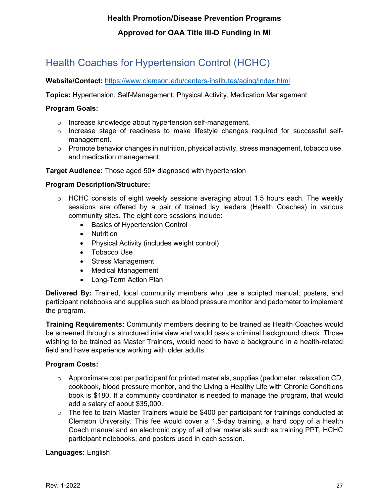# <span id="page-27-0"></span>Health Coaches for Hypertension Control (HCHC)

#### **Website/Contact:** <https://www.clemson.edu/centers-institutes/aging/index.html>

**Topics:** Hypertension, Self-Management, Physical Activity, Medication Management

#### **Program Goals:**

- o Increase knowledge about hypertension self-management.
- $\circ$  Increase stage of readiness to make lifestyle changes required for successful selfmanagement.
- $\circ$  Promote behavior changes in nutrition, physical activity, stress management, tobacco use, and medication management.

#### **Target Audience:** Those aged 50+ diagnosed with hypertension

#### **Program Description/Structure:**

- $\circ$  HCHC consists of eight weekly sessions averaging about 1.5 hours each. The weekly sessions are offered by a pair of trained lay leaders (Health Coaches) in various community sites. The eight core sessions include:
	- Basics of Hypertension Control
	- Nutrition
	- Physical Activity (includes weight control)
	- Tobacco Use
	- Stress Management
	- Medical Management
	- Long-Term Action Plan

**Delivered By:** Trained, local community members who use a scripted manual, posters, and participant notebooks and supplies such as blood pressure monitor and pedometer to implement the program.

**Training Requirements:** Community members desiring to be trained as Health Coaches would be screened through a structured interview and would pass a criminal background check. Those wishing to be trained as Master Trainers, would need to have a background in a health-related field and have experience working with older adults.

#### **Program Costs:**

- $\circ$  Approximate cost per participant for printed materials, supplies (pedometer, relaxation CD, cookbook, blood pressure monitor, and the Living a Healthy Life with Chronic Conditions book is \$180. If a community coordinator is needed to manage the program, that would add a salary of about \$35,000.
- $\circ$  The fee to train Master Trainers would be \$400 per participant for trainings conducted at Clemson University. This fee would cover a 1.5-day training, a hard copy of a Health Coach manual and an electronic copy of all other materials such as training PPT, HCHC participant notebooks, and posters used in each session.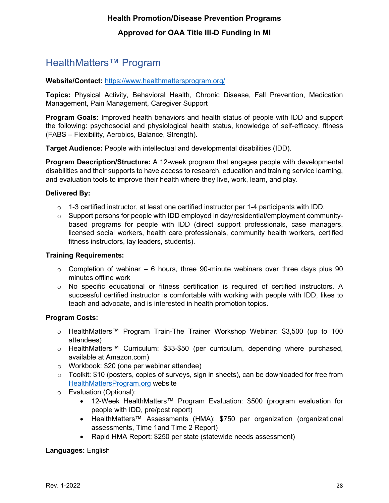### <span id="page-28-0"></span>HealthMatters™ Program

#### **Website/Contact:** <https://www.healthmattersprogram.org/>

**Topics:** Physical Activity, Behavioral Health, Chronic Disease, Fall Prevention, Medication Management, Pain Management, Caregiver Support

**Program Goals:** Improved health behaviors and health status of people with IDD and support the following: psychosocial and physiological health status, knowledge of self-efficacy, fitness (FABS – Flexibility, Aerobics, Balance, Strength).

**Target Audience:** People with intellectual and developmental disabilities (IDD).

**Program Description/Structure:** A 12-week program that engages people with developmental disabilities and their supports to have access to research, education and training service learning, and evaluation tools to improve their health where they live, work, learn, and play.

#### **Delivered By:**

- $\circ$  1-3 certified instructor, at least one certified instructor per 1-4 participants with IDD.
- $\circ$  Support persons for people with IDD employed in day/residential/employment communitybased programs for people with IDD (direct support professionals, case managers, licensed social workers, health care professionals, community health workers, certified fitness instructors, lay leaders, students).

#### **Training Requirements:**

- $\circ$  Completion of webinar 6 hours, three 90-minute webinars over three days plus 90 minutes offline work
- o No specific educational or fitness certification is required of certified instructors. A successful certified instructor is comfortable with working with people with IDD, likes to teach and advocate, and is interested in health promotion topics.

#### **Program Costs:**

- o HealthMatters™ Program Train-The Trainer Workshop Webinar: \$3,500 (up to 100 attendees)
- o HealthMatters™ Curriculum: \$33-\$50 (per curriculum, depending where purchased, available at Amazon.com)
- o Workbook: \$20 (one per webinar attendee)
- o Toolkit: \$10 (posters, copies of surveys, sign in sheets), can be downloaded for free from HealthMattersProgram.org website
- o Evaluation (Optional):
	- 12-Week HealthMatters™ Program Evaluation: \$500 (program evaluation for people with IDD, pre/post report)
	- HealthMatters™ Assessments (HMA): \$750 per organization (organizational assessments, Time 1and Time 2 Report)
	- Rapid HMA Report: \$250 per state (statewide needs assessment)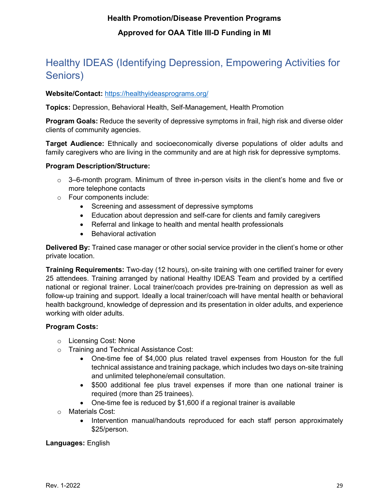# <span id="page-29-0"></span>Healthy IDEAS (Identifying Depression, Empowering Activities for Seniors)

#### **Website/Contact:** <https://healthyideasprograms.org/>

**Topics:** Depression, Behavioral Health, Self-Management, Health Promotion

**Program Goals:** Reduce the severity of depressive symptoms in frail, high risk and diverse older clients of community agencies.

**Target Audience:** Ethnically and socioeconomically diverse populations of older adults and family caregivers who are living in the community and are at high risk for depressive symptoms.

#### **Program Description/Structure:**

- $\circ$  3–6-month program. Minimum of three in-person visits in the client's home and five or more telephone contacts
- o Four components include:
	- Screening and assessment of depressive symptoms
	- Education about depression and self-care for clients and family caregivers
	- Referral and linkage to health and mental health professionals
	- Behavioral activation

**Delivered By:** Trained case manager or other social service provider in the client's home or other private location.

**Training Requirements:** Two-day (12 hours), on-site training with one certified trainer for every 25 attendees. Training arranged by national Healthy IDEAS Team and provided by a certified national or regional trainer. Local trainer/coach provides pre-training on depression as well as follow-up training and support. Ideally a local trainer/coach will have mental health or behavioral health background, knowledge of depression and its presentation in older adults, and experience working with older adults.

#### **Program Costs:**

- o Licensing Cost: None
- o Training and Technical Assistance Cost:
	- One-time fee of \$4,000 plus related travel expenses from Houston for the full technical assistance and training package, which includes two days on-site training and unlimited telephone/email consultation.
	- \$500 additional fee plus travel expenses if more than one national trainer is required (more than 25 trainees).
	- One-time fee is reduced by \$1,600 if a regional trainer is available
- o Materials Cost:
	- Intervention manual/handouts reproduced for each staff person approximately \$25/person.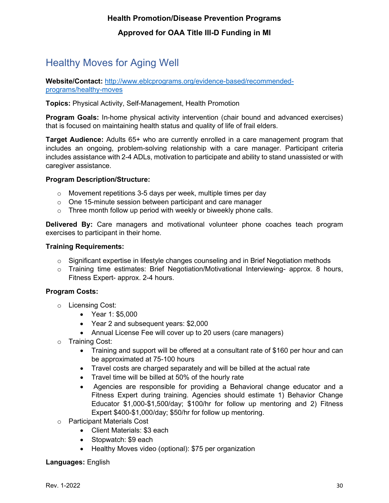# <span id="page-30-0"></span>Healthy Moves for Aging Well

**Website/Contact:** [http://www.eblcprograms.org/evidence-based/recommended](http://www.eblcprograms.org/evidence-based/recommended-programs/healthy-moves)[programs/healthy-moves](http://www.eblcprograms.org/evidence-based/recommended-programs/healthy-moves)

**Topics:** Physical Activity, Self-Management, Health Promotion

**Program Goals:** In-home physical activity intervention (chair bound and advanced exercises) that is focused on maintaining health status and quality of life of frail elders.

**Target Audience:** Adults 65+ who are currently enrolled in a care management program that includes an ongoing, problem-solving relationship with a care manager. Participant criteria includes assistance with 2-4 ADLs, motivation to participate and ability to stand unassisted or with caregiver assistance.

#### **Program Description/Structure:**

- $\circ$  Movement repetitions 3-5 days per week, multiple times per day
- o One 15-minute session between participant and care manager
- $\circ$  Three month follow up period with weekly or biweekly phone calls.

**Delivered By:** Care managers and motivational volunteer phone coaches teach program exercises to participant in their home.

#### **Training Requirements:**

- $\circ$  Significant expertise in lifestyle changes counseling and in Brief Negotiation methods
- $\circ$  Training time estimates: Brief Negotiation/Motivational Interviewing- approx. 8 hours, Fitness Expert- approx. 2-4 hours.

#### **Program Costs:**

- o Licensing Cost:
	- Year 1: \$5,000
	- Year 2 and subsequent years: \$2,000
	- Annual License Fee will cover up to 20 users (care managers)
- o Training Cost:
	- Training and support will be offered at a consultant rate of \$160 per hour and can be approximated at 75-100 hours
	- Travel costs are charged separately and will be billed at the actual rate
	- Travel time will be billed at 50% of the hourly rate
	- Agencies are responsible for providing a Behavioral change educator and a Fitness Expert during training. Agencies should estimate 1) Behavior Change Educator \$1,000-\$1,500/day; \$100/hr for follow up mentoring and 2) Fitness Expert \$400-\$1,000/day; \$50/hr for follow up mentoring.
- o Participant Materials Cost
	- Client Materials: \$3 each
	- Stopwatch: \$9 each
	- Healthy Moves video (optional): \$75 per organization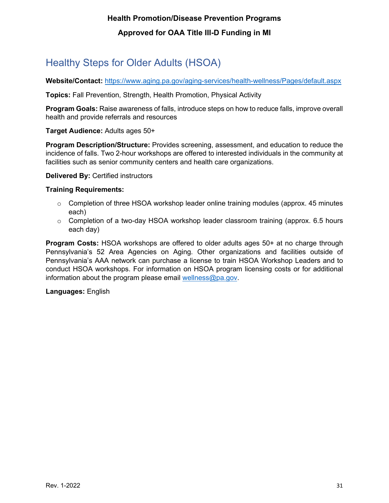# <span id="page-31-0"></span>Healthy Steps for Older Adults (HSOA)

**Website/Contact:** <https://www.aging.pa.gov/aging-services/health-wellness/Pages/default.aspx>

**Topics:** Fall Prevention, Strength, Health Promotion, Physical Activity

**Program Goals:** Raise awareness of falls, introduce steps on how to reduce falls, improve overall health and provide referrals and resources

**Target Audience:** Adults ages 50+

**Program Description/Structure:** Provides screening, assessment, and education to reduce the incidence of falls. Two 2-hour workshops are offered to interested individuals in the community at facilities such as senior community centers and health care organizations.

**Delivered By:** Certified instructors

#### **Training Requirements:**

- $\circ$  Completion of three HSOA workshop leader online training modules (approx. 45 minutes each)
- $\circ$  Completion of a two-day HSOA workshop leader classroom training (approx. 6.5 hours each day)

**Program Costs:** HSOA workshops are offered to older adults ages 50+ at no charge through Pennsylvania's 52 Area Agencies on Aging. Other organizations and facilities outside of Pennsylvania's AAA network can purchase a license to train HSOA Workshop Leaders and to conduct HSOA workshops. For information on HSOA program licensing costs or for additional information about the program please email [wellness@pa.gov.](mailto:wellness@pa.gov)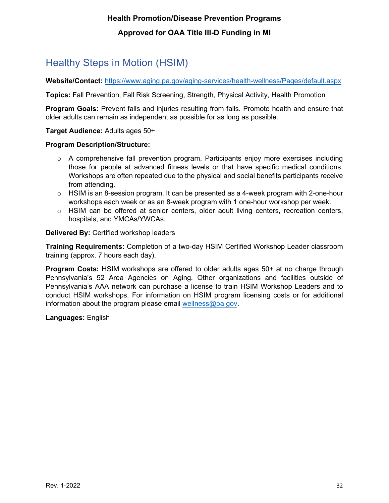# <span id="page-32-0"></span>Healthy Steps in Motion (HSIM)

**Website/Contact:** <https://www.aging.pa.gov/aging-services/health-wellness/Pages/default.aspx>

**Topics:** Fall Prevention, Fall Risk Screening, Strength, Physical Activity, Health Promotion

**Program Goals:** Prevent falls and injuries resulting from falls. Promote health and ensure that older adults can remain as independent as possible for as long as possible.

**Target Audience:** Adults ages 50+

#### **Program Description/Structure:**

- $\circ$  A comprehensive fall prevention program. Participants enjoy more exercises including those for people at advanced fitness levels or that have specific medical conditions. Workshops are often repeated due to the physical and social benefits participants receive from attending.
- $\circ$  HSIM is an 8-session program. It can be presented as a 4-week program with 2-one-hour workshops each week or as an 8-week program with 1 one-hour workshop per week.
- $\circ$  HSIM can be offered at senior centers, older adult living centers, recreation centers, hospitals, and YMCAs/YWCAs.

**Delivered By:** Certified workshop leaders

**Training Requirements:** Completion of a two-day HSIM Certified Workshop Leader classroom training (approx. 7 hours each day).

**Program Costs:** HSIM workshops are offered to older adults ages 50+ at no charge through Pennsylvania's 52 Area Agencies on Aging. Other organizations and facilities outside of Pennsylvania's AAA network can purchase a license to train HSIM Workshop Leaders and to conduct HSIM workshops. For information on HSIM program licensing costs or for additional information about the program please email [wellness@pa.gov.](mailto:wellness@pa.gov)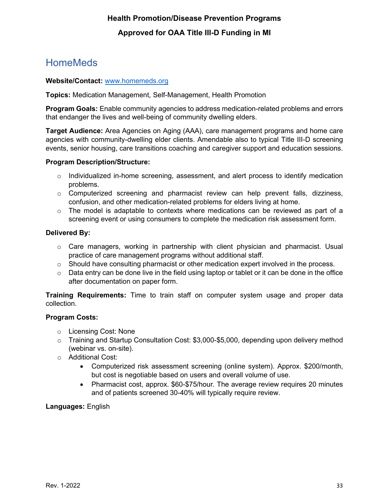### <span id="page-33-0"></span>**HomeMeds**

#### **Website/Contact:** [www.homemeds.org](http://www.homemeds.org/)

**Topics:** Medication Management, Self-Management, Health Promotion

**Program Goals:** Enable community agencies to address medication-related problems and errors that endanger the lives and well-being of community dwelling elders.

**Target Audience:** Area Agencies on Aging (AAA), care management programs and home care agencies with community-dwelling elder clients. Amendable also to typical Title III-D screening events, senior housing, care transitions coaching and caregiver support and education sessions.

#### **Program Description/Structure:**

- $\circ$  Individualized in-home screening, assessment, and alert process to identify medication problems.
- $\circ$  Computerized screening and pharmacist review can help prevent falls, dizziness, confusion, and other medication-related problems for elders living at home.
- $\circ$  The model is adaptable to contexts where medications can be reviewed as part of a screening event or using consumers to complete the medication risk assessment form.

#### **Delivered By:**

- $\circ$  Care managers, working in partnership with client physician and pharmacist. Usual practice of care management programs without additional staff.
- $\circ$  Should have consulting pharmacist or other medication expert involved in the process.
- $\circ$  Data entry can be done live in the field using laptop or tablet or it can be done in the office after documentation on paper form.

**Training Requirements:** Time to train staff on computer system usage and proper data collection.

#### **Program Costs:**

- o Licensing Cost: None
- $\circ$  Training and Startup Consultation Cost: \$3,000-\$5,000, depending upon delivery method (webinar vs. on-site).
- o Additional Cost:
	- Computerized risk assessment screening (online system). Approx. \$200/month, but cost is negotiable based on users and overall volume of use.
	- Pharmacist cost, approx. \$60-\$75/hour. The average review requires 20 minutes and of patients screened 30-40% will typically require review.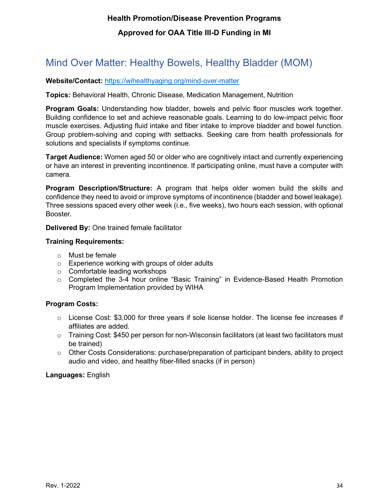### <span id="page-34-0"></span>Mind Over Matter: Healthy Bowels, Healthy Bladder (MOM)

#### **Website/Contact:** <https://wihealthyaging.org/mind-over-matter>

**Topics:** Behavioral Health, Chronic Disease, Medication Management, Nutrition

**Program Goals:** Understanding how bladder, bowels and pelvic floor muscles work together. Building confidence to set and achieve reasonable goals. Learning to do low-impact pelvic floor muscle exercises. Adjusting fluid intake and fiber intake to improve bladder and bowel function. Group problem-solving and coping with setbacks. Seeking care from health professionals for solutions and specialists if symptoms continue.

**Target Audience:** Women aged 50 or older who are cognitively intact and currently experiencing or have an interest in preventing incontinence. If participating online, must have a computer with camera.

**Program Description/Structure:** A program that helps older women build the skills and confidence they need to avoid or improve symptoms of incontinence (bladder and bowel leakage). Three sessions spaced every other week (i.e., five weeks), two hours each session, with optional Booster.

**Delivered By:** One trained female facilitator

#### **Training Requirements:**

- o Must be female
- o Experience working with groups of older adults
- o Comfortable leading workshops
- o Completed the 3-4 hour online "Basic Training" in Evidence-Based Health Promotion Program Implementation provided by WIHA

#### **Program Costs:**

- o License Cost: \$3,000 for three years if sole license holder. The license fee increases if affiliates are added.
- o Training Cost: \$450 per person for non-Wisconsin facilitators (at least two facilitators must be trained)
- o Other Costs Considerations: purchase/preparation of participant binders, ability to project audio and video, and healthy fiber-filled snacks (if in person)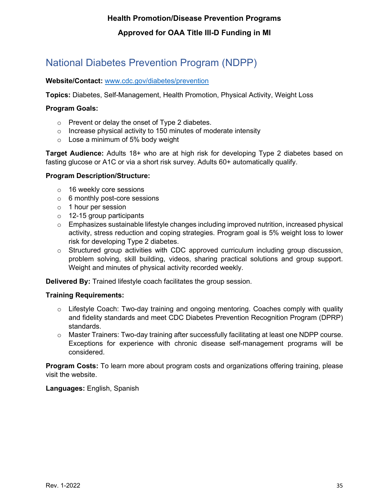# <span id="page-35-0"></span>National Diabetes Prevention Program (NDPP)

#### **Website/Contact:** [www.cdc.gov/diabetes/prevention](http://www.cdc.gov/diabetes/prevention)

**Topics:** Diabetes, Self-Management, Health Promotion, Physical Activity, Weight Loss

#### **Program Goals:**

- o Prevent or delay the onset of Type 2 diabetes.
- $\circ$  Increase physical activity to 150 minutes of moderate intensity
- o Lose a minimum of 5% body weight

**Target Audience:** Adults 18+ who are at high risk for developing Type 2 diabetes based on fasting glucose or A1C or via a short risk survey. Adults 60+ automatically qualify.

#### **Program Description/Structure:**

- o 16 weekly core sessions
- o 6 monthly post-core sessions
- o 1 hour per session
- o 12-15 group participants
- $\circ$  Emphasizes sustainable lifestyle changes including improved nutrition, increased physical activity, stress reduction and coping strategies. Program goal is 5% weight loss to lower risk for developing Type 2 diabetes.
- $\circ$  Structured group activities with CDC approved curriculum including group discussion, problem solving, skill building, videos, sharing practical solutions and group support. Weight and minutes of physical activity recorded weekly.

**Delivered By:** Trained lifestyle coach facilitates the group session.

#### **Training Requirements:**

- $\circ$  Lifestyle Coach: Two-day training and ongoing mentoring. Coaches comply with quality and fidelity standards and meet CDC Diabetes Prevention Recognition Program (DPRP) standards.
- $\circ$  Master Trainers: Two-day training after successfully facilitating at least one NDPP course. Exceptions for experience with chronic disease self-management programs will be considered.

**Program Costs:** To learn more about program costs and organizations offering training, please visit the website.

**Languages:** English, Spanish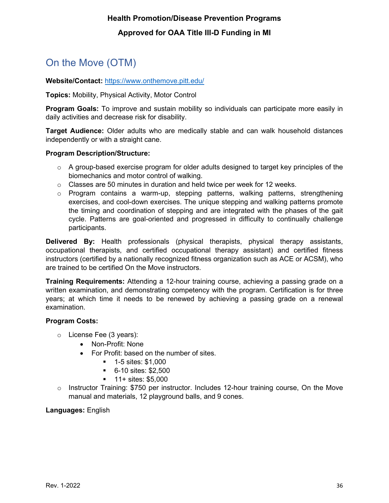# <span id="page-36-0"></span>On the Move (OTM)

#### **Website/Contact:** <https://www.onthemove.pitt.edu/>

**Topics:** Mobility, Physical Activity, Motor Control

**Program Goals:** To improve and sustain mobility so individuals can participate more easily in daily activities and decrease risk for disability.

**Target Audience:** Older adults who are medically stable and can walk household distances independently or with a straight cane.

#### **Program Description/Structure:**

- $\circ$  A group-based exercise program for older adults designed to target key principles of the biomechanics and motor control of walking.
- $\circ$  Classes are 50 minutes in duration and held twice per week for 12 weeks.
- $\circ$  Program contains a warm-up, stepping patterns, walking patterns, strengthening exercises, and cool-down exercises. The unique stepping and walking patterns promote the timing and coordination of stepping and are integrated with the phases of the gait cycle. Patterns are goal-oriented and progressed in difficulty to continually challenge participants.

**Delivered By:** Health professionals (physical therapists, physical therapy assistants, occupational therapists, and certified occupational therapy assistant) and certified fitness instructors (certified by a nationally recognized fitness organization such as ACE or ACSM), who are trained to be certified On the Move instructors.

**Training Requirements:** Attending a 12-hour training course, achieving a passing grade on a written examination, and demonstrating competency with the program. Certification is for three years; at which time it needs to be renewed by achieving a passing grade on a renewal examination.

#### **Program Costs:**

- o License Fee (3 years):
	- Non-Profit: None
	- For Profit: based on the number of sites.
		- $-1-5$  sites: \$1,000
		- 6-10 sites: \$2,500
		- $\blacksquare$  11+ sites: \$5,000
- o Instructor Training: \$750 per instructor. Includes 12-hour training course, On the Move manual and materials, 12 playground balls, and 9 cones.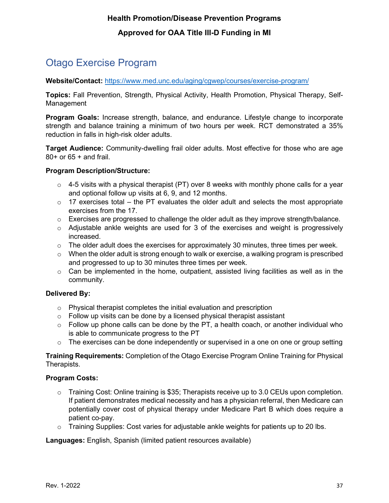# <span id="page-37-0"></span>Otago Exercise Program

**Website/Contact:** <https://www.med.unc.edu/aging/cgwep/courses/exercise-program/>

**Topics:** Fall Prevention, Strength, Physical Activity, Health Promotion, Physical Therapy, Self-Management

**Program Goals:** Increase strength, balance, and endurance. Lifestyle change to incorporate strength and balance training a minimum of two hours per week. RCT demonstrated a 35% reduction in falls in high-risk older adults.

**Target Audience:** Community-dwelling frail older adults. Most effective for those who are age 80+ or 65 + and frail.

#### **Program Description/Structure:**

- $\circ$  4-5 visits with a physical therapist (PT) over 8 weeks with monthly phone calls for a year and optional follow up visits at 6, 9, and 12 months.
- $\circ$  17 exercises total the PT evaluates the older adult and selects the most appropriate exercises from the 17.
- $\circ$  Exercises are progressed to challenge the older adult as they improve strength/balance.
- $\circ$  Adjustable ankle weights are used for 3 of the exercises and weight is progressively increased.
- $\circ$  The older adult does the exercises for approximately 30 minutes, three times per week.
- $\circ$  When the older adult is strong enough to walk or exercise, a walking program is prescribed and progressed to up to 30 minutes three times per week.
- $\circ$  Can be implemented in the home, outpatient, assisted living facilities as well as in the community.

#### **Delivered By:**

- $\circ$  Physical therapist completes the initial evaluation and prescription
- $\circ$  Follow up visits can be done by a licensed physical therapist assistant
- $\circ$  Follow up phone calls can be done by the PT, a health coach, or another individual who is able to communicate progress to the PT
- $\circ$  The exercises can be done independently or supervised in a one on one or group setting

**Training Requirements:** Completion of the Otago Exercise Program Online Training for Physical Therapists.

#### **Program Costs:**

- $\circ$  Training Cost: Online training is \$35; Therapists receive up to 3.0 CEUs upon completion. If patient demonstrates medical necessity and has a physician referral, then Medicare can potentially cover cost of physical therapy under Medicare Part B which does require a patient co-pay.
- $\circ$  Training Supplies: Cost varies for adjustable ankle weights for patients up to 20 lbs.

**Languages:** English, Spanish (limited patient resources available)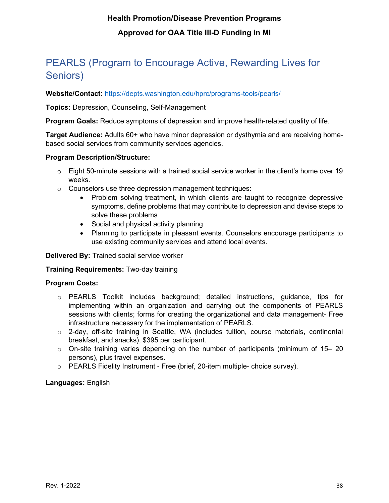# <span id="page-38-0"></span>PEARLS (Program to Encourage Active, Rewarding Lives for Seniors)

**Website/Contact:** <https://depts.washington.edu/hprc/programs-tools/pearls/>

**Topics:** Depression, Counseling, Self-Management

**Program Goals:** Reduce symptoms of depression and improve health-related quality of life.

**Target Audience:** Adults 60+ who have minor depression or dysthymia and are receiving homebased social services from community services agencies.

#### **Program Description/Structure:**

- $\circ$  Eight 50-minute sessions with a trained social service worker in the client's home over 19 weeks.
- o Counselors use three depression management techniques:
	- Problem solving treatment, in which clients are taught to recognize depressive symptoms, define problems that may contribute to depression and devise steps to solve these problems
	- Social and physical activity planning
	- Planning to participate in pleasant events. Counselors encourage participants to use existing community services and attend local events.

**Delivered By:** Trained social service worker

#### **Training Requirements:** Two-day training

#### **Program Costs:**

- o PEARLS Toolkit includes background; detailed instructions, guidance, tips for implementing within an organization and carrying out the components of PEARLS sessions with clients; forms for creating the organizational and data management- Free infrastructure necessary for the implementation of PEARLS.
- o 2-day, off-site training in Seattle, WA (includes tuition, course materials, continental breakfast, and snacks), \$395 per participant.
- $\circ$  On-site training varies depending on the number of participants (minimum of 15–20 persons), plus travel expenses.
- o PEARLS Fidelity Instrument Free (brief, 20-item multiple- choice survey).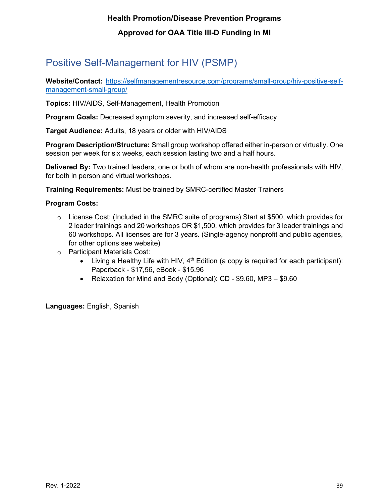# <span id="page-39-0"></span>Positive Self-Management for HIV (PSMP)

**Website/Contact:** [https://selfmanagementresource.com/programs/small-group/hiv-positive-self](https://selfmanagementresource.com/programs/small-group/hiv-positive-self-management-small-group/)[management-small-group/](https://selfmanagementresource.com/programs/small-group/hiv-positive-self-management-small-group/)

**Topics:** HIV/AIDS, Self-Management, Health Promotion

**Program Goals:** Decreased symptom severity, and increased self-efficacy

**Target Audience:** Adults, 18 years or older with HIV/AIDS

**Program Description/Structure:** Small group workshop offered either in-person or virtually. One session per week for six weeks, each session lasting two and a half hours.

**Delivered By:** Two trained leaders, one or both of whom are non-health professionals with HIV, for both in person and virtual workshops.

**Training Requirements:** Must be trained by SMRC-certified Master Trainers

#### **Program Costs:**

- $\circ$  License Cost: (Included in the SMRC suite of programs) Start at \$500, which provides for 2 leader trainings and 20 workshops OR \$1,500, which provides for 3 leader trainings and 60 workshops. All licenses are for 3 years. (Single-agency nonprofit and public agencies, for other options see website)
- o Participant Materials Cost:
	- Living a Healthy Life with HIV,  $4<sup>th</sup>$  Edition (a copy is required for each participant): Paperback - \$17,56, eBook - \$15.96
	- Relaxation for Mind and Body (Optional): CD \$9.60, MP3 \$9.60

**Languages:** English, Spanish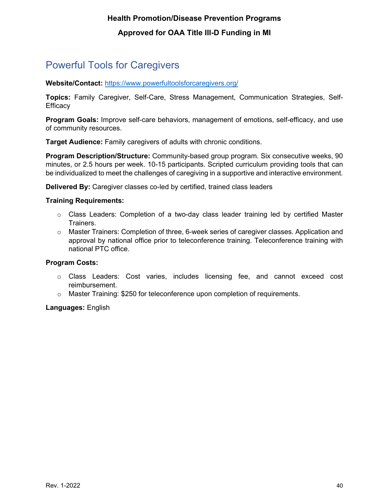### <span id="page-40-0"></span>Powerful Tools for Caregivers

**Website/Contact:** <https://www.powerfultoolsforcaregivers.org/>

**Topics:** Family Caregiver, Self-Care, Stress Management, Communication Strategies, Self-**Efficacy** 

**Program Goals:** Improve self-care behaviors, management of emotions, self-efficacy, and use of community resources.

**Target Audience:** Family caregivers of adults with chronic conditions.

**Program Description/Structure:** Community-based group program. Six consecutive weeks, 90 minutes, or 2.5 hours per week. 10-15 participants. Scripted curriculum providing tools that can be individualized to meet the challenges of caregiving in a supportive and interactive environment.

**Delivered By:** Caregiver classes co-led by certified, trained class leaders

#### **Training Requirements:**

- $\circ$  Class Leaders: Completion of a two-day class leader training led by certified Master Trainers.
- o Master Trainers: Completion of three, 6-week series of caregiver classes. Application and approval by national office prior to teleconference training. Teleconference training with national PTC office.

#### **Program Costs:**

- o Class Leaders: Cost varies, includes licensing fee, and cannot exceed cost reimbursement.
- $\circ$  Master Training: \$250 for teleconference upon completion of requirements.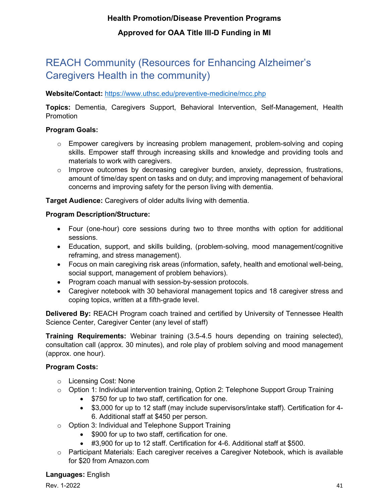# <span id="page-41-0"></span>REACH Community (Resources for Enhancing Alzheimer's Caregivers Health in the community)

#### **Website/Contact:** <https://www.uthsc.edu/preventive-medicine/mcc.php>

**Topics:** Dementia, Caregivers Support, Behavioral Intervention, Self-Management, Health **Promotion** 

#### **Program Goals:**

- o Empower caregivers by increasing problem management, problem-solving and coping skills. Empower staff through increasing skills and knowledge and providing tools and materials to work with caregivers.
- o Improve outcomes by decreasing caregiver burden, anxiety, depression, frustrations, amount of time/day spent on tasks and on duty; and improving management of behavioral concerns and improving safety for the person living with dementia.

**Target Audience:** Caregivers of older adults living with dementia.

#### **Program Description/Structure:**

- Four (one-hour) core sessions during two to three months with option for additional sessions.
- Education, support, and skills building, (problem-solving, mood management/cognitive reframing, and stress management).
- Focus on main caregiving risk areas (information, safety, health and emotional well-being, social support, management of problem behaviors).
- Program coach manual with session-by-session protocols.
- Caregiver notebook with 30 behavioral management topics and 18 caregiver stress and coping topics, written at a fifth-grade level.

**Delivered By:** REACH Program coach trained and certified by University of Tennessee Health Science Center, Caregiver Center (any level of staff)

**Training Requirements:** Webinar training (3.5-4.5 hours depending on training selected), consultation call (approx. 30 minutes), and role play of problem solving and mood management (approx. one hour).

#### **Program Costs:**

- o Licensing Cost: None
- $\circ$  Option 1: Individual intervention training, Option 2: Telephone Support Group Training
	- \$750 for up to two staff, certification for one.
	- \$3,000 for up to 12 staff (may include supervisors/intake staff). Certification for 4- 6. Additional staff at \$450 per person.
- o Option 3: Individual and Telephone Support Training
	- \$900 for up to two staff, certification for one.
	- #3,900 for up to 12 staff. Certification for 4-6. Additional staff at \$500.
- o Participant Materials: Each caregiver receives a Caregiver Notebook, which is available for \$20 from Amazon.com

**Languages:** English

**Rev. 1-2022** 41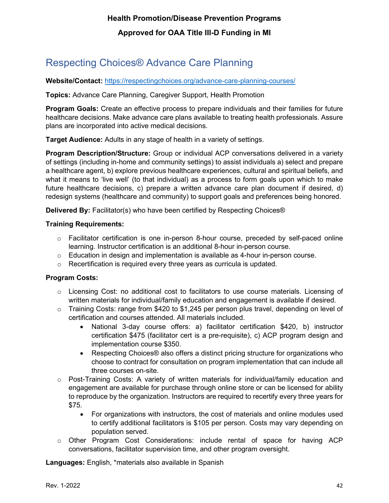# <span id="page-42-0"></span>Respecting Choices® Advance Care Planning

**Website/Contact:** <https://respectingchoices.org/advance-care-planning-courses/>

**Topics:** Advance Care Planning, Caregiver Support, Health Promotion

**Program Goals:** Create an effective process to prepare individuals and their families for future healthcare decisions. Make advance care plans available to treating health professionals. Assure plans are incorporated into active medical decisions.

**Target Audience:** Adults in any stage of health in a variety of settings.

**Program Description/Structure:** Group or individual ACP conversations delivered in a variety of settings (including in-home and community settings) to assist individuals a) select and prepare a healthcare agent, b) explore previous healthcare experiences, cultural and spiritual beliefs, and what it means to 'live well' (to that individual) as a process to form goals upon which to make future healthcare decisions, c) prepare a written advance care plan document if desired, d) redesign systems (healthcare and community) to support goals and preferences being honored.

**Delivered By:** Facilitator(s) who have been certified by Respecting Choices®

#### **Training Requirements:**

- $\circ$  Facilitator certification is one in-person 8-hour course, preceded by self-paced online learning. Instructor certification is an additional 8-hour in-person course.
- $\circ$  Education in design and implementation is available as 4-hour in-person course.
- o Recertification is required every three years as curricula is updated.

#### **Program Costs:**

- $\circ$  Licensing Cost: no additional cost to facilitators to use course materials. Licensing of written materials for individual/family education and engagement is available if desired.
- o Training Costs: range from \$420 to \$1,245 per person plus travel, depending on level of certification and courses attended. All materials included.
	- National 3-day course offers: a) facilitator certification \$420, b) instructor certification \$475 (facilitator cert is a pre-requisite), c) ACP program design and implementation course \$350.
	- Respecting Choices® also offers a distinct pricing structure for organizations who choose to contract for consultation on program implementation that can include all three courses on-site.
- $\circ$  Post-Training Costs: A variety of written materials for individual/family education and engagement are available for purchase through online store or can be licensed for ability to reproduce by the organization. Instructors are required to recertify every three years for \$75.
	- For organizations with instructors, the cost of materials and online modules used to certify additional facilitators is \$105 per person. Costs may vary depending on population served.
- $\circ$  Other Program Cost Considerations: include rental of space for having ACP conversations, facilitator supervision time, and other program oversight.

**Languages:** English, \*materials also available in Spanish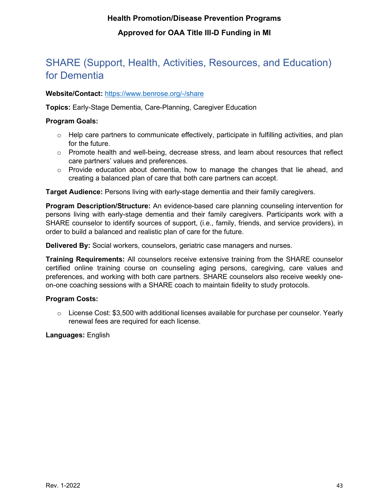### <span id="page-43-0"></span>SHARE (Support, Health, Activities, Resources, and Education) for Dementia

#### **Website/Contact:** <https://www.benrose.org/-/share>

**Topics:** Early-Stage Dementia, Care-Planning, Caregiver Education

#### **Program Goals:**

- $\circ$  Help care partners to communicate effectively, participate in fulfilling activities, and plan for the future.
- $\circ$  Promote health and well-being, decrease stress, and learn about resources that reflect care partners' values and preferences.
- $\circ$  Provide education about dementia, how to manage the changes that lie ahead, and creating a balanced plan of care that both care partners can accept.

**Target Audience:** Persons living with early-stage dementia and their family caregivers.

**Program Description/Structure:** An evidence-based care planning counseling intervention for persons living with early-stage dementia and their family caregivers. Participants work with a SHARE counselor to identify sources of support, (i.e., family, friends, and service providers), in order to build a balanced and realistic plan of care for the future.

**Delivered By:** Social workers, counselors, geriatric case managers and nurses.

**Training Requirements:** All counselors receive extensive training from the SHARE counselor certified online training course on counseling aging persons, caregiving, care values and preferences, and working with both care partners. SHARE counselors also receive weekly oneon-one coaching sessions with a SHARE coach to maintain fidelity to study protocols.

#### **Program Costs:**

 $\circ$  License Cost: \$3,500 with additional licenses available for purchase per counselor. Yearly renewal fees are required for each license.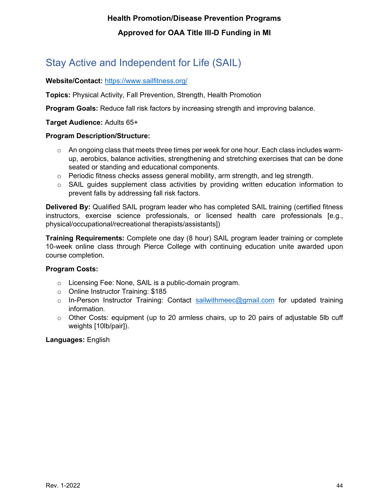# <span id="page-44-0"></span>Stay Active and Independent for Life (SAIL)

#### **Website/Contact:** <https://www.sailfitness.org/>

**Topics:** Physical Activity, Fall Prevention, Strength, Health Promotion

**Program Goals:** Reduce fall risk factors by increasing strength and improving balance.

#### **Target Audience:** Adults 65+

#### **Program Description/Structure:**

- $\circ$  An ongoing class that meets three times per week for one hour. Each class includes warmup, aerobics, balance activities, strengthening and stretching exercises that can be done seated or standing and educational components.
- $\circ$  Periodic fitness checks assess general mobility, arm strength, and leg strength.
- $\circ$  SAIL quides supplement class activities by providing written education information to prevent falls by addressing fall risk factors.

**Delivered By:** Qualified SAIL program leader who has completed SAIL training (certified fitness instructors, exercise science professionals, or licensed health care professionals [e.g., physical/occupational/recreational therapists/assistants])

**Training Requirements:** Complete one day (8 hour) SAIL program leader training or complete 10-week online class through Pierce College with continuing education unite awarded upon course completion.

#### **Program Costs:**

- o Licensing Fee: None, SAIL is a public-domain program.
- o Online Instructor Training: \$185
- $\circ$  In-Person Instructor Training: Contact [sailwithmeec@gmail.com](mailto:sailwithmeec@gmail.com) for updated training information.
- o Other Costs: equipment (up to 20 armless chairs, up to 20 pairs of adjustable 5lb cuff weights [10lb/pair]).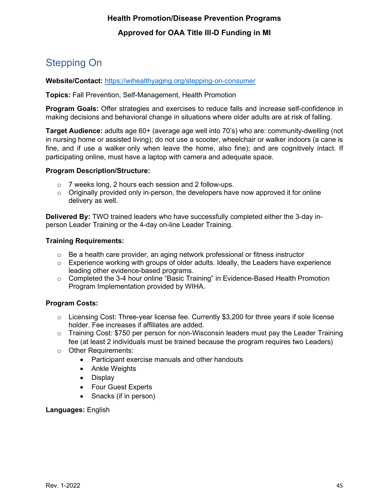# <span id="page-45-0"></span>Stepping On

**Website/Contact:** <https://wihealthyaging.org/stepping-on-consumer>

**Topics:** Fall Prevention, Self-Management, Health Promotion

**Program Goals:** Offer strategies and exercises to reduce falls and increase self-confidence in making decisions and behavioral change in situations where older adults are at risk of falling.

**Target Audience:** adults age 60+ (average age well into 70's) who are: community-dwelling (not in nursing home or assisted living); do not use a scooter, wheelchair or walker indoors (a cane is fine, and if use a walker only when leave the home, also fine); and are cognitively intact. If participating online, must have a laptop with camera and adequate space.

#### **Program Description/Structure:**

- o 7 weeks long, 2 hours each session and 2 follow-ups.
- $\circ$  Originally provided only in-person, the developers have now approved it for online delivery as well.

**Delivered By:** TWO trained leaders who have successfully completed either the 3-day inperson Leader Training or the 4-day on-line Leader Training.

#### **Training Requirements:**

- $\circ$  Be a health care provider, an aging network professional or fitness instructor
- $\circ$  Experience working with groups of older adults. Ideally, the Leaders have experience leading other evidence-based programs.
- o Completed the 3-4 hour online "Basic Training" in Evidence-Based Health Promotion Program Implementation provided by WIHA.

#### **Program Costs:**

- $\circ$  Licensing Cost: Three-year license fee. Currently \$3,200 for three years if sole license holder. Fee increases if affiliates are added.
- $\circ$  Training Cost: \$750 per person for non-Wisconsin leaders must pay the Leader Training fee (at least 2 individuals must be trained because the program requires two Leaders)
- o Other Requirements:
	- Participant exercise manuals and other handouts
	- Ankle Weights
	- Display
	- Four Guest Experts
	- Snacks (if in person)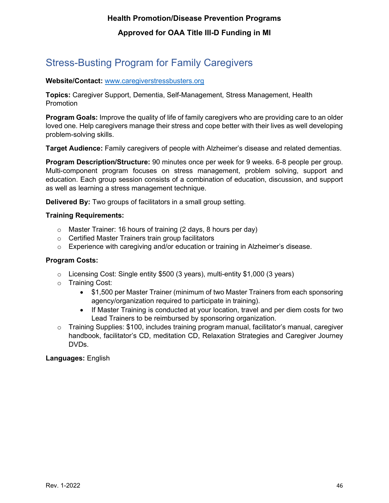# <span id="page-46-0"></span>Stress-Busting Program for Family Caregivers

#### **Website/Contact:** [www.caregiverstressbusters.org](http://www.caregiverstressbusters.org/)

**Topics:** Caregiver Support, Dementia, Self-Management, Stress Management, Health **Promotion** 

**Program Goals:** Improve the quality of life of family caregivers who are providing care to an older loved one. Help caregivers manage their stress and cope better with their lives as well developing problem-solving skills.

**Target Audience:** Family caregivers of people with Alzheimer's disease and related dementias.

**Program Description/Structure:** 90 minutes once per week for 9 weeks. 6-8 people per group. Multi-component program focuses on stress management, problem solving, support and education. Each group session consists of a combination of education, discussion, and support as well as learning a stress management technique.

**Delivered By:** Two groups of facilitators in a small group setting.

#### **Training Requirements:**

- o Master Trainer: 16 hours of training (2 days, 8 hours per day)
- o Certified Master Trainers train group facilitators
- o Experience with caregiving and/or education or training in Alzheimer's disease.

#### **Program Costs:**

- o Licensing Cost: Single entity \$500 (3 years), multi-entity \$1,000 (3 years)
- o Training Cost:
	- \$1,500 per Master Trainer (minimum of two Master Trainers from each sponsoring agency/organization required to participate in training).
	- If Master Training is conducted at your location, travel and per diem costs for two Lead Trainers to be reimbursed by sponsoring organization.
- $\circ$  Training Supplies: \$100, includes training program manual, facilitator's manual, caregiver handbook, facilitator's CD, meditation CD, Relaxation Strategies and Caregiver Journey DVDs.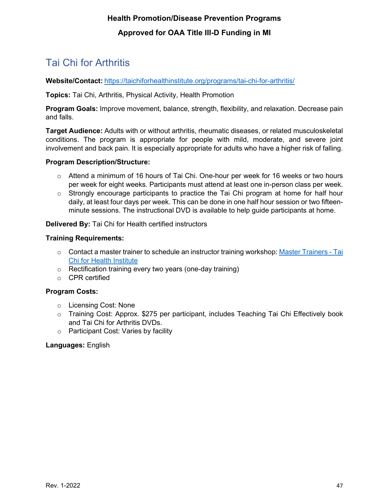# <span id="page-47-0"></span>Tai Chi for Arthritis

**Website/Contact:** <https://taichiforhealthinstitute.org/programs/tai-chi-for-arthritis/>

**Topics:** Tai Chi, Arthritis, Physical Activity, Health Promotion

**Program Goals:** Improve movement, balance, strength, flexibility, and relaxation. Decrease pain and falls.

**Target Audience:** Adults with or without arthritis, rheumatic diseases, or related musculoskeletal conditions. The program is appropriate for people with mild, moderate, and severe joint involvement and back pain. It is especially appropriate for adults who have a higher risk of falling.

#### **Program Description/Structure:**

- $\circ$  Attend a minimum of 16 hours of Tai Chi. One-hour per week for 16 weeks or two hours per week for eight weeks. Participants must attend at least one in-person class per week.
- $\circ$  Strongly encourage participants to practice the Tai Chi program at home for half hour daily, at least four days per week. This can be done in one half hour session or two fifteenminute sessions. The instructional DVD is available to help guide participants at home.

**Delivered By:** Tai Chi for Health certified instructors

#### **Training Requirements:**

- $\circ$  Contact a master trainer to schedule an instructor training workshop: [Master Trainers -](https://taichiforhealthinstitute.org/instructors/master-trainers/?region&amp%3Bamp%3Bfn=Find&amp%3Bamp%3Bcountry_id=233&amp%3Bamp%3Bregion&amp%3Bamp%3Bfn=Find) Tai [Chi for Health Institute](https://taichiforhealthinstitute.org/instructors/master-trainers/?region&amp%3Bamp%3Bfn=Find&amp%3Bamp%3Bcountry_id=233&amp%3Bamp%3Bregion&amp%3Bamp%3Bfn=Find)
- o Rectification training every two years (one-day training)
- o CPR certified

#### **Program Costs:**

- o Licensing Cost: None
- o Training Cost: Approx. \$275 per participant, includes Teaching Tai Chi Effectively book and Tai Chi for Arthritis DVDs.
- o Participant Cost: Varies by facility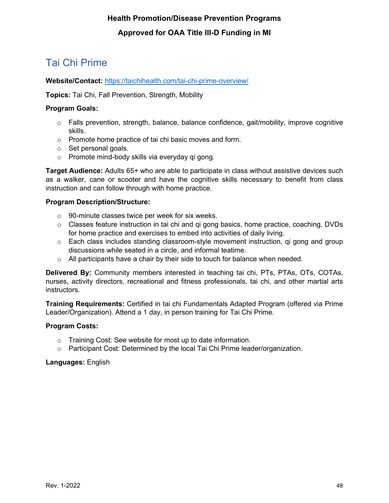# <span id="page-48-0"></span>Tai Chi Prime

#### **Website/Contact:** <https://taichihealth.com/tai-chi-prime-overview/>

**Topics:** Tai Chi, Fall Prevention, Strength, Mobility

#### **Program Goals:**

- o Falls prevention, strength, balance, balance confidence, gait/mobility, improve cognitive skills.
- o Promote home practice of tai chi basic moves and form.
- o Set personal goals.
- o Promote mind-body skills via everyday qi gong.

**Target Audience:** Adults 65+ who are able to participate in class without assistive devices such as a walker, cane or scooter and have the cognitive skills necessary to benefit from class instruction and can follow through with home practice.

#### **Program Description/Structure:**

- o 90-minute classes twice per week for six weeks.
- $\circ$  Classes feature instruction in tai chi and qi gong basics, home practice, coaching, DVDs for home practice and exercises to embed into activities of daily living.
- $\circ$  Each class includes standing classroom-style movement instruction, gi gong and group discussions while seated in a circle, and informal teatime.
- $\circ$  All participants have a chair by their side to touch for balance when needed.

**Delivered By:** Community members interested in teaching tai chi, PTs, PTAs, OTs, COTAs, nurses, activity directors, recreational and fitness professionals, tai chi, and other martial arts instructors.

**Training Requirements:** Certified in tai chi Fundamentals Adapted Program (offered via Prime Leader/Organization). Attend a 1 day, in person training for Tai Chi Prime.

#### **Program Costs:**

- o Training Cost: See website for most up to date information.
- $\circ$  Participant Cost: Determined by the local Tai Chi Prime leader/organization.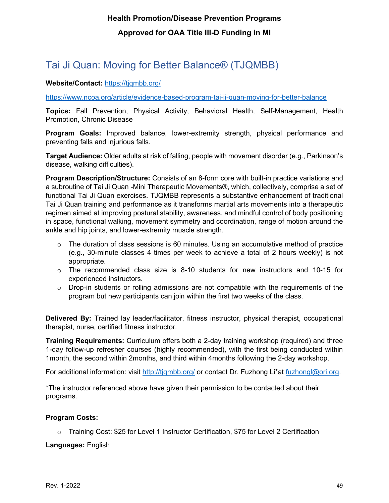### <span id="page-49-0"></span>Tai Ji Quan: Moving for Better Balance® (TJQMBB)

#### **Website/Contact:** <https://tjqmbb.org/>

<https://www.ncoa.org/article/evidence-based-program-tai-ji-quan-moving-for-better-balance>

**Topics:** Fall Prevention, Physical Activity, Behavioral Health, Self-Management, Health Promotion, Chronic Disease

**Program Goals:** Improved balance, lower-extremity strength, physical performance and preventing falls and injurious falls.

**Target Audience:** Older adults at risk of falling, people with movement disorder (e.g., Parkinson's disease, walking difficulties).

**Program Description/Structure:** Consists of an 8-form core with built-in practice variations and a subroutine of Tai Ji Quan -Mini Therapeutic Movements®, which, collectively, comprise a set of functional Tai Ji Quan exercises. TJQMBB represents a substantive enhancement of traditional Tai Ji Quan training and performance as it transforms martial arts movements into a therapeutic regimen aimed at improving postural stability, awareness, and mindful control of body positioning in space, functional walking, movement symmetry and coordination, range of motion around the ankle and hip joints, and lower-extremity muscle strength.

- o The duration of class sessions is 60 minutes. Using an accumulative method of practice (e.g., 30-minute classes 4 times per week to achieve a total of 2 hours weekly) is not appropriate.
- $\circ$  The recommended class size is 8-10 students for new instructors and 10-15 for experienced instructors.
- $\circ$  Drop-in students or rolling admissions are not compatible with the requirements of the program but new participants can join within the first two weeks of the class.

**Delivered By:** Trained lay leader/facilitator, fitness instructor, physical therapist, occupational therapist, nurse, certified fitness instructor.

**Training Requirements:** Curriculum offers both a 2-day training workshop (required) and three 1-day follow-up refresher courses (highly recommended), with the first being conducted within 1month, the second within 2months, and third within 4months following the 2-day workshop.

For additional information: visit<http://tjqmbb.org/> or contact Dr. Fuzhong Li\*at [fuzhongl@ori.org.](mailto:fuzhongl@ori.org)

\*The instructor referenced above have given their permission to be contacted about their programs.

#### **Program Costs:**

o Training Cost: \$25 for Level 1 Instructor Certification, \$75 for Level 2 Certification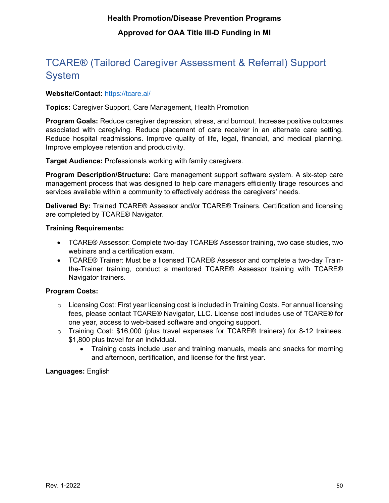# <span id="page-50-0"></span>TCARE® (Tailored Caregiver Assessment & Referral) Support System

#### **Website/Contact:** <https://tcare.ai/>

**Topics:** Caregiver Support, Care Management, Health Promotion

**Program Goals:** Reduce caregiver depression, stress, and burnout. Increase positive outcomes associated with caregiving. Reduce placement of care receiver in an alternate care setting. Reduce hospital readmissions. Improve quality of life, legal, financial, and medical planning. Improve employee retention and productivity.

**Target Audience:** Professionals working with family caregivers.

**Program Description/Structure:** Care management support software system. A six-step care management process that was designed to help care managers efficiently tirage resources and services available within a community to effectively address the caregivers' needs.

**Delivered By:** Trained TCARE® Assessor and/or TCARE® Trainers. Certification and licensing are completed by TCARE® Navigator.

#### **Training Requirements:**

- TCARE® Assessor: Complete two-day TCARE® Assessor training, two case studies, two webinars and a certification exam.
- TCARE® Trainer: Must be a licensed TCARE® Assessor and complete a two-day Trainthe-Trainer training, conduct a mentored TCARE® Assessor training with TCARE® Navigator trainers.

#### **Program Costs:**

- $\circ$  Licensing Cost: First year licensing cost is included in Training Costs. For annual licensing fees, please contact TCARE® Navigator, LLC. License cost includes use of TCARE® for one year, access to web-based software and ongoing support.
- $\circ$  Training Cost: \$16,000 (plus travel expenses for TCARE® trainers) for 8-12 trainees. \$1,800 plus travel for an individual.
	- Training costs include user and training manuals, meals and snacks for morning and afternoon, certification, and license for the first year.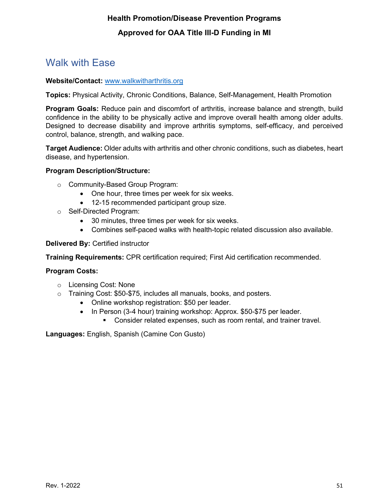### <span id="page-51-0"></span>Walk with Ease

#### **Website/Contact:** [www.walkwitharthritis.org](http://www.walkwitharthritis.org/)

**Topics:** Physical Activity, Chronic Conditions, Balance, Self-Management, Health Promotion

**Program Goals:** Reduce pain and discomfort of arthritis, increase balance and strength, build confidence in the ability to be physically active and improve overall health among older adults. Designed to decrease disability and improve arthritis symptoms, self-efficacy, and perceived control, balance, strength, and walking pace.

**Target Audience:** Older adults with arthritis and other chronic conditions, such as diabetes, heart disease, and hypertension.

#### **Program Description/Structure:**

- o Community-Based Group Program:
	- One hour, three times per week for six weeks.
	- 12-15 recommended participant group size.
- o Self-Directed Program:
	- 30 minutes, three times per week for six weeks.
	- Combines self-paced walks with health-topic related discussion also available.

#### **Delivered By:** Certified instructor

**Training Requirements:** CPR certification required; First Aid certification recommended.

#### **Program Costs:**

- o Licensing Cost: None
- o Training Cost: \$50-\$75, includes all manuals, books, and posters.
	- Online workshop registration: \$50 per leader.
	- In Person (3-4 hour) training workshop: Approx. \$50-\$75 per leader.
		- **Consider related expenses, such as room rental, and trainer travel.**

**Languages:** English, Spanish (Camine Con Gusto)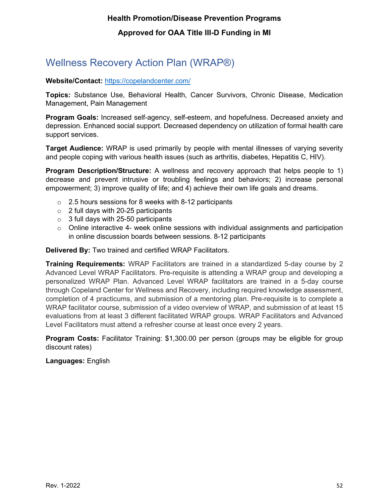# <span id="page-52-0"></span>Wellness Recovery Action Plan (WRAP®)

#### **Website/Contact:** <https://copelandcenter.com/>

**Topics:** Substance Use, Behavioral Health, Cancer Survivors, Chronic Disease, Medication Management, Pain Management

**Program Goals:** Increased self-agency, self-esteem, and hopefulness. Decreased anxiety and depression. Enhanced social support. Decreased dependency on utilization of formal health care support services.

**Target Audience:** WRAP is used primarily by people with mental illnesses of varying severity and people coping with various health issues (such as arthritis, diabetes, Hepatitis C, HIV).

**Program Description/Structure:** A wellness and recovery approach that helps people to 1) decrease and prevent intrusive or troubling feelings and behaviors; 2) increase personal empowerment; 3) improve quality of life; and 4) achieve their own life goals and dreams.

- $\circ$  2.5 hours sessions for 8 weeks with 8-12 participants
- $\circ$  2 full days with 20-25 participants
- $\circ$  3 full days with 25-50 participants
- $\circ$  Online interactive 4- week online sessions with individual assignments and participation in online discussion boards between sessions. 8-12 participants

#### **Delivered By:** Two trained and certified WRAP Facilitators.

**Training Requirements:** WRAP Facilitators are trained in a standardized 5-day course by 2 Advanced Level WRAP Facilitators. Pre-requisite is attending a WRAP group and developing a personalized WRAP Plan. Advanced Level WRAP facilitators are trained in a 5-day course through Copeland Center for Wellness and Recovery, including required knowledge assessment, completion of 4 practicums, and submission of a mentoring plan. Pre-requisite is to complete a WRAP facilitator course, submission of a video overview of WRAP, and submission of at least 15 evaluations from at least 3 different facilitated WRAP groups. WRAP Facilitators and Advanced Level Facilitators must attend a refresher course at least once every 2 years.

**Program Costs:** Facilitator Training: \$1,300.00 per person (groups may be eligible for group discount rates)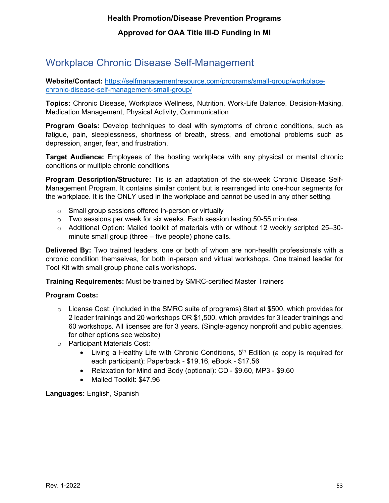### <span id="page-53-0"></span>Workplace Chronic Disease Self-Management

**Website/Contact:** [https://selfmanagementresource.com/programs/small-group/workplace](https://selfmanagementresource.com/programs/small-group/workplace-chronic-disease-self-management-small-group/)[chronic-disease-self-management-small-group/](https://selfmanagementresource.com/programs/small-group/workplace-chronic-disease-self-management-small-group/)

**Topics:** Chronic Disease, Workplace Wellness, Nutrition, Work-Life Balance, Decision-Making, Medication Management, Physical Activity, Communication

**Program Goals:** Develop techniques to deal with symptoms of chronic conditions, such as fatigue, pain, sleeplessness, shortness of breath, stress, and emotional problems such as depression, anger, fear, and frustration.

**Target Audience:** Employees of the hosting workplace with any physical or mental chronic conditions or multiple chronic conditions

**Program Description/Structure:** Tis is an adaptation of the six-week Chronic Disease Self-Management Program. It contains similar content but is rearranged into one-hour segments for the workplace. It is the ONLY used in the workplace and cannot be used in any other setting.

- o Small group sessions offered in-person or virtually
- $\circ$  Two sessions per week for six weeks. Each session lasting 50-55 minutes.
- o Additional Option: Mailed toolkit of materials with or without 12 weekly scripted 25–30 minute small group (three – five people) phone calls.

**Delivered By:** Two trained leaders, one or both of whom are non-health professionals with a chronic condition themselves, for both in-person and virtual workshops. One trained leader for Tool Kit with small group phone calls workshops.

**Training Requirements:** Must be trained by SMRC-certified Master Trainers

#### **Program Costs:**

- $\circ$  License Cost: (Included in the SMRC suite of programs) Start at \$500, which provides for 2 leader trainings and 20 workshops OR \$1,500, which provides for 3 leader trainings and 60 workshops. All licenses are for 3 years. (Single-agency nonprofit and public agencies, for other options see website)
- o Participant Materials Cost:
	- Living a Healthy Life with Chronic Conditions,  $5<sup>th</sup>$  Edition (a copy is required for each participant): Paperback - \$19.16, eBook - \$17.56
	- Relaxation for Mind and Body (optional): CD \$9.60, MP3 \$9.60
	- Mailed Toolkit: \$47.96

**Languages:** English, Spanish